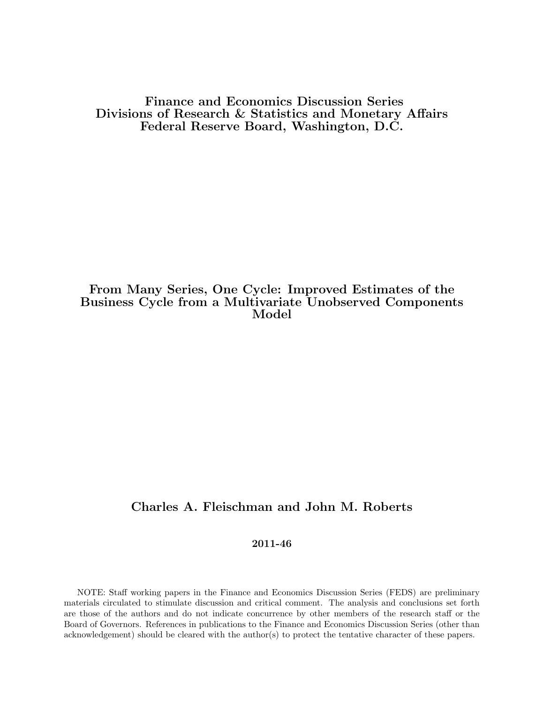Finance and Economics Discussion Series Divisions of Research & Statistics and Monetary Affairs Federal Reserve Board, Washington, D.C.

# From Many Series, One Cycle: Improved Estimates of the Business Cycle from a Multivariate Unobserved Components Model

# Charles A. Fleischman and John M. Roberts

#### 2011-46

NOTE: Staff working papers in the Finance and Economics Discussion Series (FEDS) are preliminary materials circulated to stimulate discussion and critical comment. The analysis and conclusions set forth are those of the authors and do not indicate concurrence by other members of the research staff or the Board of Governors. References in publications to the Finance and Economics Discussion Series (other than acknowledgement) should be cleared with the author(s) to protect the tentative character of these papers.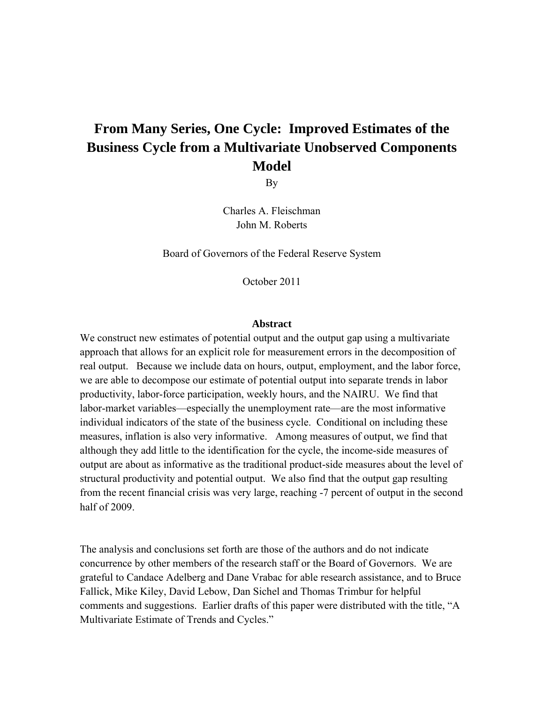# **From Many Series, One Cycle: Improved Estimates of the Business Cycle from a Multivariate Unobserved Components Model**

By

Charles A. Fleischman John M. Roberts

Board of Governors of the Federal Reserve System

October 2011

#### **Abstract**

We construct new estimates of potential output and the output gap using a multivariate approach that allows for an explicit role for measurement errors in the decomposition of real output. Because we include data on hours, output, employment, and the labor force, we are able to decompose our estimate of potential output into separate trends in labor productivity, labor-force participation, weekly hours, and the NAIRU. We find that labor-market variables—especially the unemployment rate—are the most informative individual indicators of the state of the business cycle. Conditional on including these measures, inflation is also very informative. Among measures of output, we find that although they add little to the identification for the cycle, the income-side measures of output are about as informative as the traditional product-side measures about the level of structural productivity and potential output. We also find that the output gap resulting from the recent financial crisis was very large, reaching -7 percent of output in the second half of 2009.

The analysis and conclusions set forth are those of the authors and do not indicate concurrence by other members of the research staff or the Board of Governors. We are grateful to Candace Adelberg and Dane Vrabac for able research assistance, and to Bruce Fallick, Mike Kiley, David Lebow, Dan Sichel and Thomas Trimbur for helpful comments and suggestions. Earlier drafts of this paper were distributed with the title, "A Multivariate Estimate of Trends and Cycles."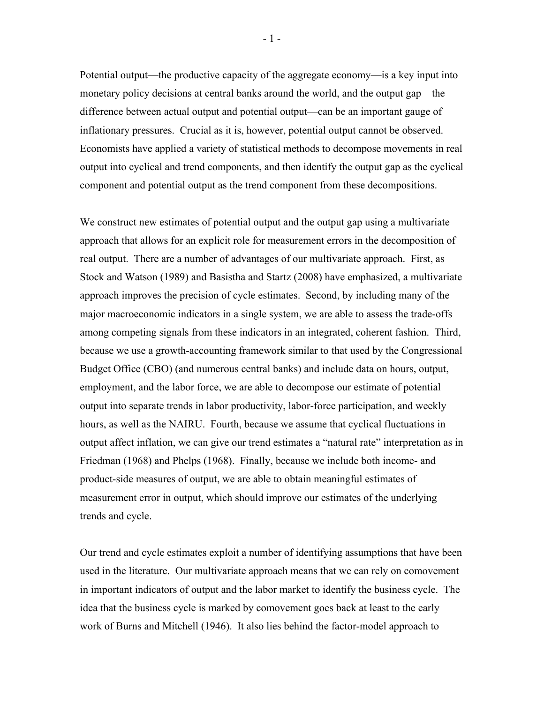Potential output—the productive capacity of the aggregate economy—is a key input into monetary policy decisions at central banks around the world, and the output gap—the difference between actual output and potential output—can be an important gauge of inflationary pressures. Crucial as it is, however, potential output cannot be observed. Economists have applied a variety of statistical methods to decompose movements in real output into cyclical and trend components, and then identify the output gap as the cyclical component and potential output as the trend component from these decompositions.

We construct new estimates of potential output and the output gap using a multivariate approach that allows for an explicit role for measurement errors in the decomposition of real output. There are a number of advantages of our multivariate approach. First, as Stock and Watson (1989) and Basistha and Startz (2008) have emphasized, a multivariate approach improves the precision of cycle estimates. Second, by including many of the major macroeconomic indicators in a single system, we are able to assess the trade-offs among competing signals from these indicators in an integrated, coherent fashion. Third, because we use a growth-accounting framework similar to that used by the Congressional Budget Office (CBO) (and numerous central banks) and include data on hours, output, employment, and the labor force, we are able to decompose our estimate of potential output into separate trends in labor productivity, labor-force participation, and weekly hours, as well as the NAIRU. Fourth, because we assume that cyclical fluctuations in output affect inflation, we can give our trend estimates a "natural rate" interpretation as in Friedman (1968) and Phelps (1968). Finally, because we include both income- and product-side measures of output, we are able to obtain meaningful estimates of measurement error in output, which should improve our estimates of the underlying trends and cycle.

Our trend and cycle estimates exploit a number of identifying assumptions that have been used in the literature. Our multivariate approach means that we can rely on comovement in important indicators of output and the labor market to identify the business cycle. The idea that the business cycle is marked by comovement goes back at least to the early work of Burns and Mitchell (1946). It also lies behind the factor-model approach to

 $-1 - 1 - 1$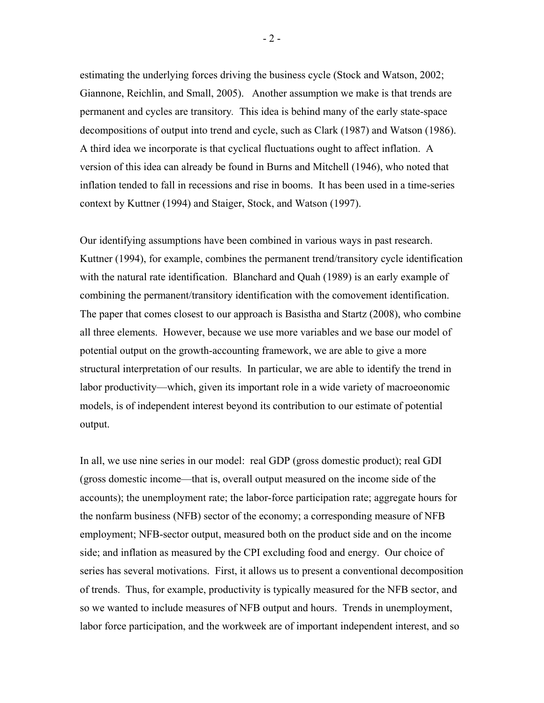estimating the underlying forces driving the business cycle (Stock and Watson, 2002; Giannone, Reichlin, and Small, 2005). Another assumption we make is that trends are permanent and cycles are transitory*.* This idea is behind many of the early state-space decompositions of output into trend and cycle, such as Clark (1987) and Watson (1986). A third idea we incorporate is that cyclical fluctuations ought to affect inflation. A version of this idea can already be found in Burns and Mitchell (1946), who noted that inflation tended to fall in recessions and rise in booms. It has been used in a time-series context by Kuttner (1994) and Staiger, Stock, and Watson (1997).

Our identifying assumptions have been combined in various ways in past research. Kuttner (1994), for example, combines the permanent trend/transitory cycle identification with the natural rate identification. Blanchard and Quah (1989) is an early example of combining the permanent/transitory identification with the comovement identification. The paper that comes closest to our approach is Basistha and Startz (2008), who combine all three elements. However, because we use more variables and we base our model of potential output on the growth-accounting framework, we are able to give a more structural interpretation of our results. In particular, we are able to identify the trend in labor productivity—which, given its important role in a wide variety of macroeonomic models, is of independent interest beyond its contribution to our estimate of potential output.

In all, we use nine series in our model: real GDP (gross domestic product); real GDI (gross domestic income—that is, overall output measured on the income side of the accounts); the unemployment rate; the labor-force participation rate; aggregate hours for the nonfarm business (NFB) sector of the economy; a corresponding measure of NFB employment; NFB-sector output, measured both on the product side and on the income side; and inflation as measured by the CPI excluding food and energy. Our choice of series has several motivations. First, it allows us to present a conventional decomposition of trends. Thus, for example, productivity is typically measured for the NFB sector, and so we wanted to include measures of NFB output and hours. Trends in unemployment, labor force participation, and the workweek are of important independent interest, and so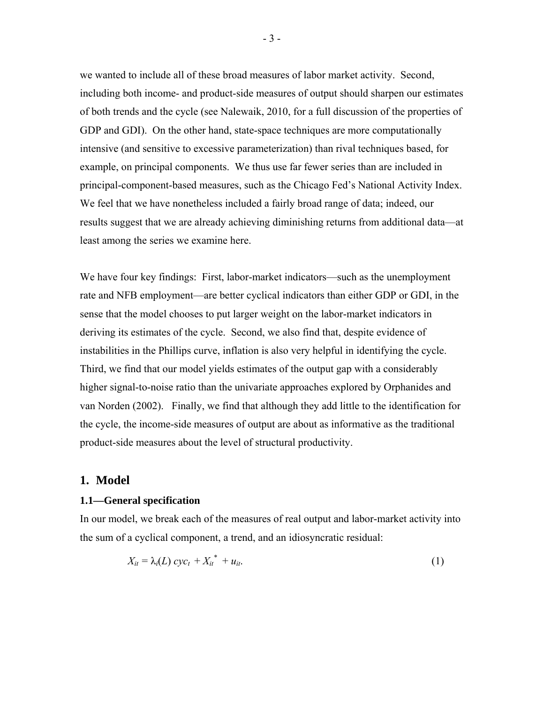we wanted to include all of these broad measures of labor market activity. Second, including both income- and product-side measures of output should sharpen our estimates of both trends and the cycle (see Nalewaik, 2010, for a full discussion of the properties of GDP and GDI). On the other hand, state-space techniques are more computationally intensive (and sensitive to excessive parameterization) than rival techniques based, for example, on principal components. We thus use far fewer series than are included in principal-component-based measures, such as the Chicago Fed's National Activity Index. We feel that we have nonetheless included a fairly broad range of data; indeed, our results suggest that we are already achieving diminishing returns from additional data—at least among the series we examine here.

We have four key findings: First, labor-market indicators—such as the unemployment rate and NFB employment—are better cyclical indicators than either GDP or GDI, in the sense that the model chooses to put larger weight on the labor-market indicators in deriving its estimates of the cycle. Second, we also find that, despite evidence of instabilities in the Phillips curve, inflation is also very helpful in identifying the cycle. Third, we find that our model yields estimates of the output gap with a considerably higher signal-to-noise ratio than the univariate approaches explored by Orphanides and van Norden (2002). Finally, we find that although they add little to the identification for the cycle, the income-side measures of output are about as informative as the traditional product-side measures about the level of structural productivity.

#### **1. Model**

#### **1.1—General specification**

In our model, we break each of the measures of real output and labor-market activity into the sum of a cyclical component, a trend, and an idiosyncratic residual:

$$
X_{it} = \lambda_i(L) \, cyc_t + X_{it}^* + u_{it}. \tag{1}
$$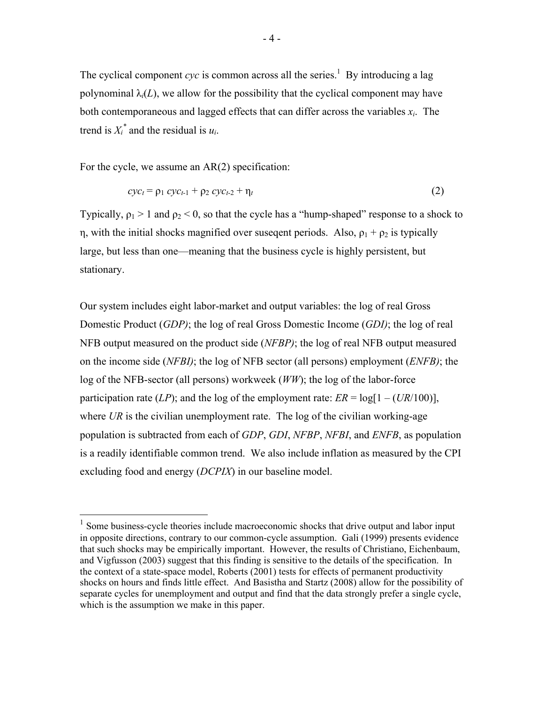The cyclical component *cyc* is common across all the series.<sup>1</sup> By introducing a lag polynominal  $\lambda_i(L)$ , we allow for the possibility that the cyclical component may have both contemporaneous and lagged effects that can differ across the variables *xi*. The trend is  $X_i^*$  and the residual is  $u_i$ .

For the cycle, we assume an AR(2) specification:

 $\overline{a}$ 

$$
cyc_t = \rho_1 cyc_{t-1} + \rho_2 cyc_{t-2} + \eta_t
$$
 (2)

Typically,  $\rho_1 > 1$  and  $\rho_2 < 0$ , so that the cycle has a "hump-shaped" response to a shock to η, with the initial shocks magnified over susedent periods. Also,  $ρ_1 + ρ_2$  is typically large, but less than one—meaning that the business cycle is highly persistent, but stationary.

Our system includes eight labor-market and output variables: the log of real Gross Domestic Product (*GDP)*; the log of real Gross Domestic Income (*GDI)*; the log of real NFB output measured on the product side (*NFBP)*; the log of real NFB output measured on the income side (*NFBI)*; the log of NFB sector (all persons) employment (*ENFB)*; the log of the NFB-sector (all persons) workweek (*WW*); the log of the labor-force participation rate  $(LP)$ ; and the log of the employment rate:  $ER = log[1 - (UR/100)]$ , where *UR* is the civilian unemployment rate. The log of the civilian working-age population is subtracted from each of *GDP*, *GDI*, *NFBP*, *NFBI*, and *ENFB*, as population is a readily identifiable common trend. We also include inflation as measured by the CPI excluding food and energy (*DCPIX*) in our baseline model.

 $<sup>1</sup>$  Some business-cycle theories include macroeconomic shocks that drive output and labor input</sup> in opposite directions, contrary to our common-cycle assumption. Gali (1999) presents evidence that such shocks may be empirically important. However, the results of Christiano, Eichenbaum, and Vigfusson (2003) suggest that this finding is sensitive to the details of the specification. In the context of a state-space model, Roberts (2001) tests for effects of permanent productivity shocks on hours and finds little effect. And Basistha and Startz (2008) allow for the possibility of separate cycles for unemployment and output and find that the data strongly prefer a single cycle, which is the assumption we make in this paper.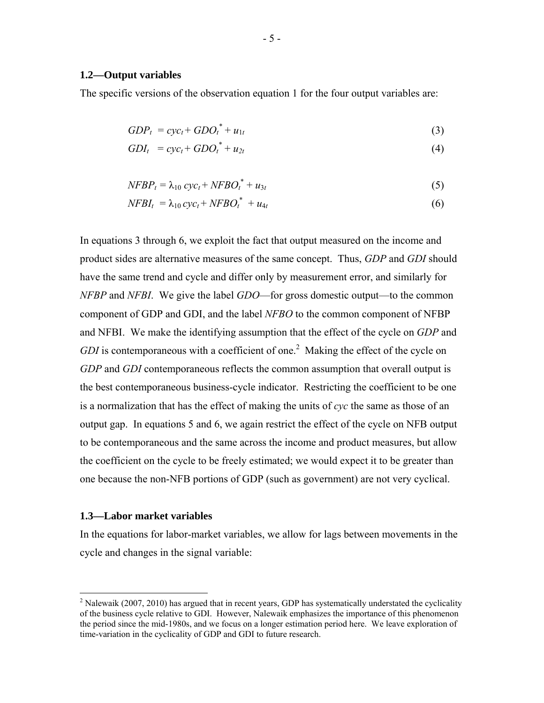#### **1.2—Output variables**

The specific versions of the observation equation 1 for the four output variables are:

$$
GDP_t = cyc_t + GDO_t^* + u_{1t}
$$
\n
$$
(3)
$$

$$
GDI_t = cyc_t + GDO_t^* + u_{2t}
$$
\n
$$
(4)
$$

$$
NFBP_t = \lambda_{10} \, cyc_t + NFBO_t^* + u_{3t} \tag{5}
$$

$$
NFBI_t = \lambda_{10} cyc_t + NFBO_t^* + u_{4t} \tag{6}
$$

In equations 3 through 6, we exploit the fact that output measured on the income and product sides are alternative measures of the same concept. Thus, *GDP* and *GDI* should have the same trend and cycle and differ only by measurement error, and similarly for *NFBP* and *NFBI*. We give the label *GDO*—for gross domestic output—to the common component of GDP and GDI, and the label *NFBO* to the common component of NFBP and NFBI. We make the identifying assumption that the effect of the cycle on *GDP* and GDI is contemporaneous with a coefficient of one.<sup>2</sup> Making the effect of the cycle on *GDP* and *GDI* contemporaneous reflects the common assumption that overall output is the best contemporaneous business-cycle indicator. Restricting the coefficient to be one is a normalization that has the effect of making the units of *cyc* the same as those of an output gap. In equations 5 and 6, we again restrict the effect of the cycle on NFB output to be contemporaneous and the same across the income and product measures, but allow the coefficient on the cycle to be freely estimated; we would expect it to be greater than one because the non-NFB portions of GDP (such as government) are not very cyclical.

#### **1.3—Labor market variables**

<u>.</u>

In the equations for labor-market variables, we allow for lags between movements in the cycle and changes in the signal variable:

<sup>&</sup>lt;sup>2</sup> Nalewaik (2007, 2010) has argued that in recent years, GDP has systematically understated the cyclicality of the business cycle relative to GDI. However, Nalewaik emphasizes the importance of this phenomenon the period since the mid-1980s, and we focus on a longer estimation period here. We leave exploration of time-variation in the cyclicality of GDP and GDI to future research.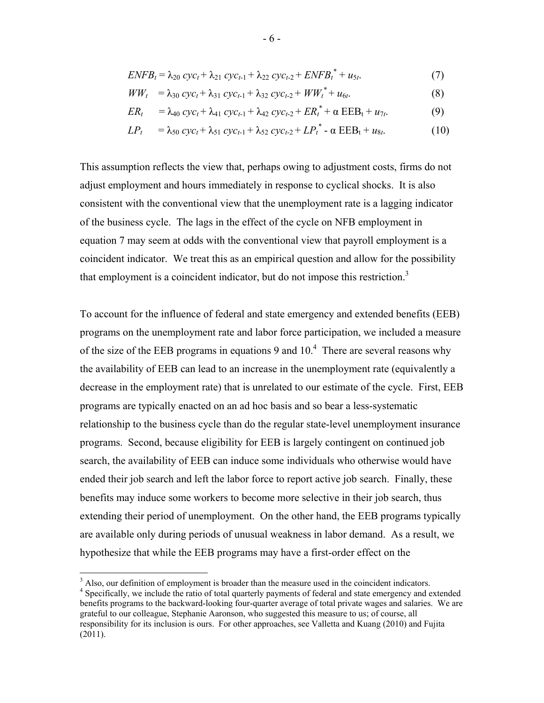$$
ENFB_t = \lambda_{20} cyc_t + \lambda_{21} cyc_{t-1} + \lambda_{22} cyc_{t-2} + ENFB_t^* + u_{5t}.
$$
 (7)

$$
WW_t = \lambda_{30} cyc_t + \lambda_{31} cyc_{t-1} + \lambda_{32} cyc_{t-2} + WW_t^* + u_{6t}.
$$
 (8)

$$
ER_t = \lambda_{40} cyc_t + \lambda_{41} cyc_{t-1} + \lambda_{42} cyc_{t-2} + ER_t^* + \alpha EEB_t + u_{7t}.
$$
 (9)

$$
LP_t = \lambda_{50} \, cyc_t + \lambda_{51} \, cyc_{t-1} + \lambda_{52} \, cyc_{t-2} + LP_t^* - \alpha EEB_t + u_{8t}.
$$
 (10)

This assumption reflects the view that, perhaps owing to adjustment costs, firms do not adjust employment and hours immediately in response to cyclical shocks. It is also consistent with the conventional view that the unemployment rate is a lagging indicator of the business cycle. The lags in the effect of the cycle on NFB employment in equation 7 may seem at odds with the conventional view that payroll employment is a coincident indicator. We treat this as an empirical question and allow for the possibility that employment is a coincident indicator, but do not impose this restriction.<sup>3</sup>

To account for the influence of federal and state emergency and extended benefits (EEB) programs on the unemployment rate and labor force participation, we included a measure of the size of the EEB programs in equations 9 and  $10<sup>4</sup>$  There are several reasons why the availability of EEB can lead to an increase in the unemployment rate (equivalently a decrease in the employment rate) that is unrelated to our estimate of the cycle. First, EEB programs are typically enacted on an ad hoc basis and so bear a less-systematic relationship to the business cycle than do the regular state-level unemployment insurance programs. Second, because eligibility for EEB is largely contingent on continued job search, the availability of EEB can induce some individuals who otherwise would have ended their job search and left the labor force to report active job search. Finally, these benefits may induce some workers to become more selective in their job search, thus extending their period of unemployment. On the other hand, the EEB programs typically are available only during periods of unusual weakness in labor demand. As a result, we hypothesize that while the EEB programs may have a first-order effect on the

1

 $3$  Also, our definition of employment is broader than the measure used in the coincident indicators. <sup>4</sup> Specifically, we include the ratio of total quarterly payments of federal and state emergency and extended benefits programs to the backward-looking four-quarter average of total private wages and salaries. We are grateful to our colleague, Stephanie Aaronson, who suggested this measure to us; of course, all responsibility for its inclusion is ours. For other approaches, see Valletta and Kuang (2010) and Fujita (2011).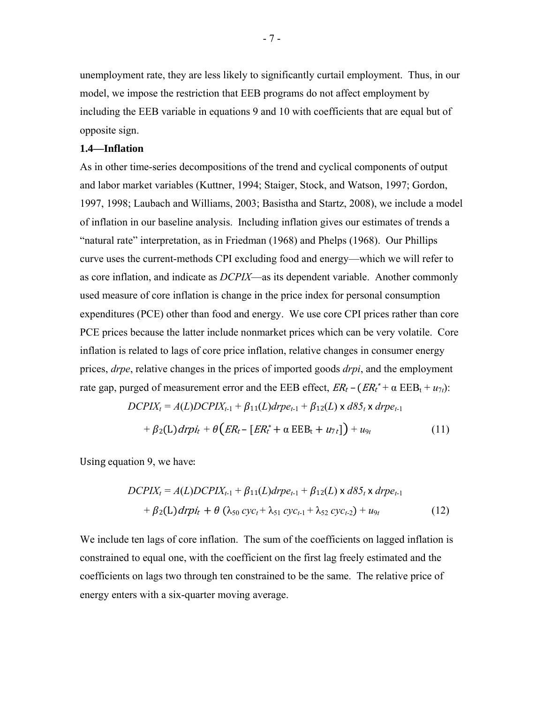unemployment rate, they are less likely to significantly curtail employment. Thus, in our model, we impose the restriction that EEB programs do not affect employment by including the EEB variable in equations 9 and 10 with coefficients that are equal but of opposite sign.

#### **1.4—Inflation**

As in other time-series decompositions of the trend and cyclical components of output and labor market variables (Kuttner, 1994; Staiger, Stock, and Watson, 1997; Gordon, 1997, 1998; Laubach and Williams, 2003; Basistha and Startz, 2008), we include a model of inflation in our baseline analysis. Including inflation gives our estimates of trends a "natural rate" interpretation, as in Friedman (1968) and Phelps (1968). Our Phillips curve uses the current-methods CPI excluding food and energy—which we will refer to as core inflation, and indicate as *DCPIX*—as its dependent variable. Another commonly used measure of core inflation is change in the price index for personal consumption expenditures (PCE) other than food and energy. We use core CPI prices rather than core PCE prices because the latter include nonmarket prices which can be very volatile. Core inflation is related to lags of core price inflation, relative changes in consumer energy prices, *drpe*, relative changes in the prices of imported goods *drpi*, and the employment rate gap, purged of measurement error and the EEB effect,  $ER_t - (ER_t^* + \alpha EEB_t + u_7t)$ :

$$
DCPLX_t = A(L)DCPLX_{t-1} + \beta_{11}(L)drop_{t-1} + \beta_{12}(L) \times d85_t \times drp_{t-1} + \beta_2(L)drpi_t + \theta\Big(ER_t - [ER_t^* + \alpha EEB_t + u_{7t}]\Big) + u_{9t}
$$
(11)

Using equation 9, we have:

$$
DCPIX_t = A(L)DCPIX_{t-1} + \beta_{11}(L)drop_{t-1} + \beta_{12}(L) \times d85_t \times drpe_{t-1} + \beta_2(L)drpi_t + \theta (\lambda_{50} cyc_t + \lambda_{51} cyc_{t-1} + \lambda_{52} cyc_{t-2}) + u_{9t}
$$
(12)

We include ten lags of core inflation. The sum of the coefficients on lagged inflation is constrained to equal one, with the coefficient on the first lag freely estimated and the coefficients on lags two through ten constrained to be the same. The relative price of energy enters with a six-quarter moving average.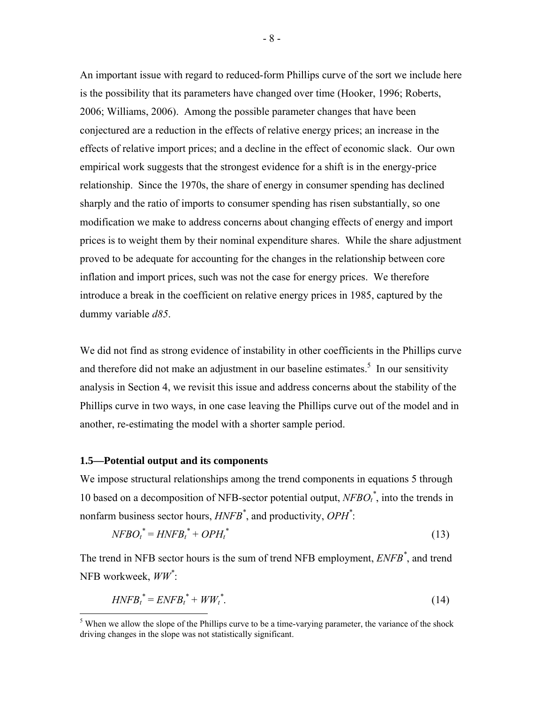An important issue with regard to reduced-form Phillips curve of the sort we include here is the possibility that its parameters have changed over time (Hooker, 1996; Roberts, 2006; Williams, 2006). Among the possible parameter changes that have been conjectured are a reduction in the effects of relative energy prices; an increase in the effects of relative import prices; and a decline in the effect of economic slack. Our own empirical work suggests that the strongest evidence for a shift is in the energy-price relationship. Since the 1970s, the share of energy in consumer spending has declined sharply and the ratio of imports to consumer spending has risen substantially, so one modification we make to address concerns about changing effects of energy and import prices is to weight them by their nominal expenditure shares. While the share adjustment proved to be adequate for accounting for the changes in the relationship between core inflation and import prices, such was not the case for energy prices. We therefore introduce a break in the coefficient on relative energy prices in 1985, captured by the dummy variable *d85*.

We did not find as strong evidence of instability in other coefficients in the Phillips curve and therefore did not make an adjustment in our baseline estimates.<sup>5</sup> In our sensitivity analysis in Section 4, we revisit this issue and address concerns about the stability of the Phillips curve in two ways, in one case leaving the Phillips curve out of the model and in another, re-estimating the model with a shorter sample period.

#### **1.5—Potential output and its components**

We impose structural relationships among the trend components in equations 5 through 10 based on a decomposition of NFB-sector potential output, *NFBO<sub>t</sub>*<sup>\*</sup>, into the trends in nonfarm business sector hours, *HNFB\** , and productivity, *OPH\** :

$$
NFBO_t^* = HNFB_t^* + OPH_t^* \tag{13}
$$

The trend in NFB sector hours is the sum of trend NFB employment, *ENFB\** , and trend NFB workweek, *WW\** :

$$
HNFB_t^* = ENFB_t^* + WW_t^*.
$$
\n<sup>(14)</sup>

<sup>&</sup>lt;sup>5</sup> When we allow the slope of the Phillips curve to be a time-varying parameter, the variance of the shock driving changes in the slope was not statistically significant.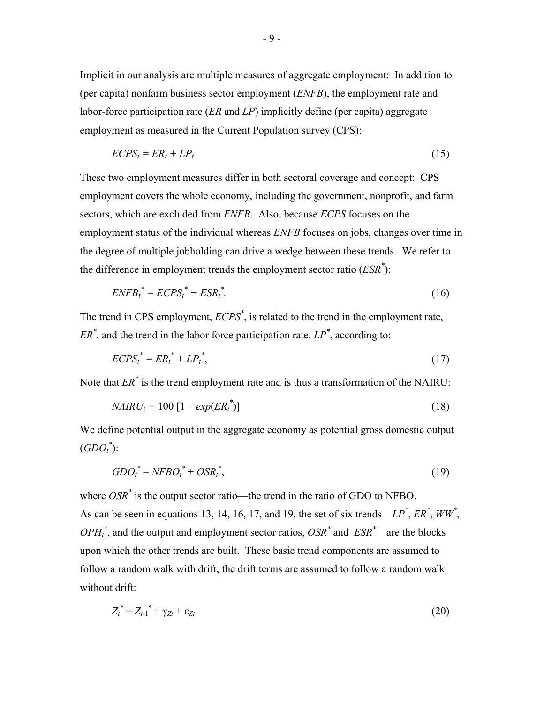Implicit in our analysis are multiple measures of aggregate employment: In addition to (per capita) nonfarm business sector employment (*ENFB*), the employment rate and labor-force participation rate (*ER* and *LP*) implicitly define (per capita) aggregate employment as measured in the Current Population survey (CPS):

$$
ECPS_t = ER_t + LP_t \tag{15}
$$

These two employment measures differ in both sectoral coverage and concept: CPS employment covers the whole economy, including the government, nonprofit, and farm sectors, which are excluded from *ENFB*. Also, because *ECPS* focuses on the employment status of the individual whereas *ENFB* focuses on jobs, changes over time in the degree of multiple jobholding can drive a wedge between these trends. We refer to the difference in employment trends the employment sector ratio (*ESR\** ):

$$
ENFB_t^* = ECPS_t^* + ESR_t^*.
$$
 (16)

The trend in CPS employment, *ECPS\** , is related to the trend in the employment rate,  $ER^*$ , and the trend in the labor force participation rate,  $LP^*$ , according to:

$$
ECPS_t^* = ER_t^* + LP_t^*,\tag{17}
$$

Note that  $ER^*$  is the trend employment rate and is thus a transformation of the NAIRU:

$$
NAIRU_t = 100 \left[1 - exp(ER_t^*)\right] \tag{18}
$$

We define potential output in the aggregate economy as potential gross domestic output  $(GDO<sub>t</sub><sup>*</sup>)$ :

$$
GDO_t^* = NFBO_t^* + OSR_t^*,\tag{19}
$$

where *OSR*<sup>\*</sup> is the output sector ratio—the trend in the ratio of GDO to NFBO. As can be seen in equations 13, 14, 16, 17, and 19, the set of six trends— $LP^*$ ,  $ER^*$ ,  $WW^*$ ,  $OPH<sub>t</sub><sup>*</sup>$ , and the output and employment sector ratios,  $OSR<sup>*</sup>$  and  $ESR<sup>*</sup>$ —are the blocks upon which the other trends are built. These basic trend components are assumed to follow a random walk with drift; the drift terms are assumed to follow a random walk without drift:

$$
Z_t^* = Z_{t-1}^* + \gamma_{Zt} + \varepsilon_{Zt} \tag{20}
$$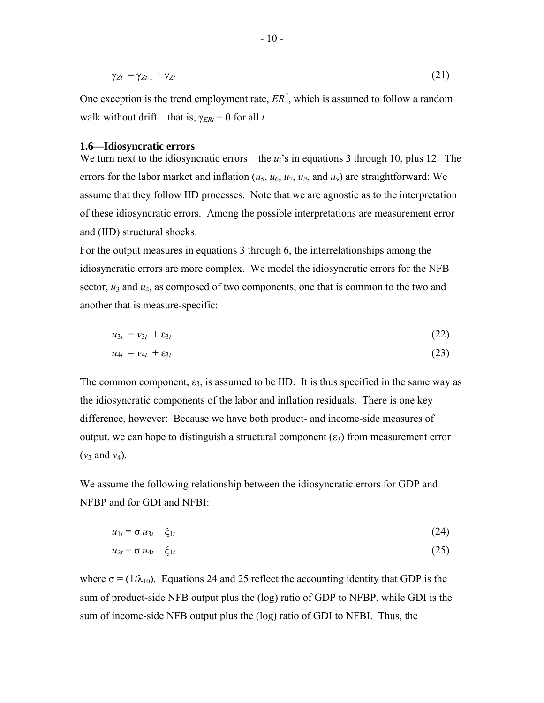$$
\gamma_{Zt} = \gamma_{Zt-1} + \nu_{Zt} \tag{21}
$$

One exception is the trend employment rate,  $ER^*$ , which is assumed to follow a random walk without drift—that is,  $\gamma_{ERt} = 0$  for all *t*.

#### **1.6—Idiosyncratic errors**

We turn next to the idiosyncratic errors—the  $u_i$ 's in equations 3 through 10, plus 12. The errors for the labor market and inflation  $(u_5, u_6, u_7, u_8, u_9)$  are straightforward: We assume that they follow IID processes. Note that we are agnostic as to the interpretation of these idiosyncratic errors. Among the possible interpretations are measurement error and (IID) structural shocks.

For the output measures in equations 3 through 6, the interrelationships among the idiosyncratic errors are more complex. We model the idiosyncratic errors for the NFB sector,  $u_3$  and  $u_4$ , as composed of two components, one that is common to the two and another that is measure-specific:

$$
u_{3t} = v_{3t} + \varepsilon_{3t} \tag{22}
$$

$$
u_{4t} = v_{4t} + \varepsilon_{3t} \tag{23}
$$

The common component,  $\varepsilon_3$ , is assumed to be IID. It is thus specified in the same way as the idiosyncratic components of the labor and inflation residuals. There is one key difference, however: Because we have both product- and income-side measures of output, we can hope to distinguish a structural component  $(\epsilon_3)$  from measurement error  $(v_3 \text{ and } v_4)$ .

We assume the following relationship between the idiosyncratic errors for GDP and NFBP and for GDI and NFBI:

$$
u_{1t} = \sigma u_{3t} + \xi_{1t} \tag{24}
$$

$$
u_{2t} = \sigma u_{4t} + \xi_{1t} \tag{25}
$$

where  $\sigma = (1/\lambda_{10})$ . Equations 24 and 25 reflect the accounting identity that GDP is the sum of product-side NFB output plus the (log) ratio of GDP to NFBP, while GDI is the sum of income-side NFB output plus the (log) ratio of GDI to NFBI. Thus, the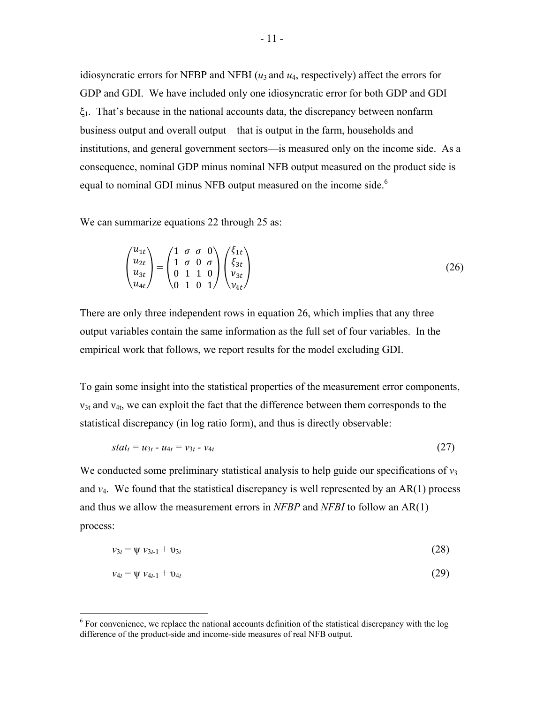idiosyncratic errors for NFBP and NFBI  $(u_3$  and  $u_4$ , respectively) affect the errors for GDP and GDI. We have included only one idiosyncratic error for both GDP and GDI ξ1. That's because in the national accounts data, the discrepancy between nonfarm business output and overall output—that is output in the farm, households and institutions, and general government sectors—is measured only on the income side. As a consequence, nominal GDP minus nominal NFB output measured on the product side is equal to nominal GDI minus NFB output measured on the income side.<sup>6</sup>

We can summarize equations 22 through 25 as:

 $\overline{a}$ 

$$
\begin{pmatrix} u_{1t} \\ u_{2t} \\ u_{3t} \\ u_{4t} \end{pmatrix} = \begin{pmatrix} 1 & \sigma & \sigma & 0 \\ 1 & \sigma & 0 & \sigma \\ 0 & 1 & 1 & 0 \\ 0 & 1 & 0 & 1 \end{pmatrix} \begin{pmatrix} \xi_{1t} \\ \xi_{3t} \\ \nu_{3t} \\ \nu_{4t} \end{pmatrix}
$$
(26)

There are only three independent rows in equation 26, which implies that any three output variables contain the same information as the full set of four variables. In the empirical work that follows, we report results for the model excluding GDI.

To gain some insight into the statistical properties of the measurement error components,  $v_{3t}$  and  $v_{4t}$ , we can exploit the fact that the difference between them corresponds to the statistical discrepancy (in log ratio form), and thus is directly observable:

$$
stat_t = u_{3t} - u_{4t} = v_{3t} - v_{4t} \tag{27}
$$

We conducted some preliminary statistical analysis to help guide our specifications of  $v_3$ and  $v_4$ . We found that the statistical discrepancy is well represented by an AR(1) process and thus we allow the measurement errors in *NFBP* and *NFBI* to follow an AR(1) process:

$$
v_{3t} = \psi v_{3t-1} + v_{3t} \tag{28}
$$

$$
v_{4t} = \psi \ v_{4t-1} + v_{4t} \tag{29}
$$

<sup>&</sup>lt;sup>6</sup> For convenience, we replace the national accounts definition of the statistical discrepancy with the log difference of the product-side and income-side measures of real NFB output.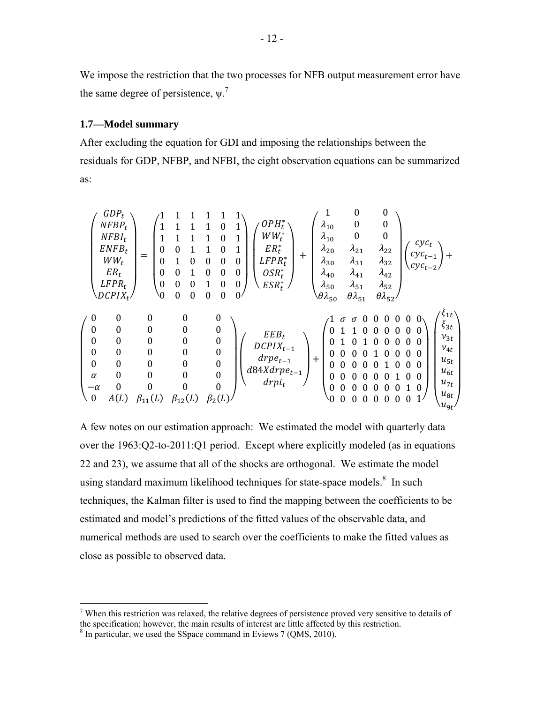We impose the restriction that the two processes for NFB output measurement error have the same degree of persistence,  $\psi$ .<sup>7</sup>

#### **1.7—Model summary**

After excluding the equation for GDI and imposing the relationships between the residuals for GDP, NFBP, and NFBI, the eight observation equations can be summarized as:

$$
\begin{pmatrix}\nGDP_t \\
NFBP_t \\
ENFB_t \\
EWQ_t \\
ERF \\ LFRr_t \\
DCPIX_t\n\end{pmatrix} = \begin{pmatrix}\n1 & 1 & 1 & 1 & 1 & 1 & 1 \\
1 & 1 & 1 & 1 & 0 & 1 \\
0 & 0 & 1 & 1 & 0 & 1 \\
0 & 1 & 0 & 0 & 0 & 0 \\
0 & 0 & 1 & 1 & 0 & 1 \\
0 & 0 & 0 & 0 & 0 & 0 \\
0 & 0 & 0 & 1 & 0 & 0 \\
0 & 0 & 0 & 0 & 0 & 0\n\end{pmatrix} \begin{pmatrix}\nOFH_t^* \\
ER_t^* \\
LER_t^* \\
ESR_t^* \\
ESR_t^* \\
\frac{1}{2} & \lambda_{20} & \lambda_{21} & \lambda_{22} \\
\lambda_{30} & \lambda_{31} & \lambda_{32} \\
\lambda_{40} & \lambda_{41} & \lambda_{42} \\
\lambda_{50} & \lambda_{51} & \lambda_{52}\n\end{pmatrix} \begin{pmatrix}\ncyc_t \\
cyc_t \\
cyc_{t-1} \\
cyc_{t-2}\n\end{pmatrix} + \begin{pmatrix}\n0 & 0 & 0 & 0 \\
0 & 0 & 0 & 0 \\
0 & 0 & 0 & 0 \\
0 & 0 & 0 & 0 \\
0 & 0 & 0 & 0 \\
0 & 0 & 0 & 0 \\
0 & 0 & 0 & 0 \\
0 & 0 & 0 & 0 \\
0 & 0 & 0 & 0 \\
0 & 0 & 0 & 0 \\
0 & 0 & 0 & 0 \\
0 & 0 & 0 & 0 \\
0 & 0 & 0 & 0\n\end{pmatrix} \begin{pmatrix}\nE_{Bt} \\
DE_{Bt} \\
E_{Bt} \\
\frac{1}{2} & \lambda_{50} & \lambda_{51} & \lambda_{52} \\
0 & 1 & 0 & 0 & 0 & 0 \\
0 & 1 & 0 & 0 & 0 & 0 \\
0 & 0 & 0 & 0 & 0 & 0 \\
0 & 0 & 0 & 0 & 0 & 0 \\
0 & 0 & 0 & 0 & 0 & 0 \\
0 & 0 & 0 & 0 & 0 & 0 \\
0 & 0 & 0 & 0 & 0 & 0 \\
0 & 0 & 0 & 0 & 0 & 0 \\
0 & 0 & 0 & 0 & 0 & 0 \\
0 & 0 & 0 & 0 & 0 & 0 \\
0 & 0 & 0 & 0 & 0
$$

A few notes on our estimation approach: We estimated the model with quarterly data over the 1963:Q2-to-2011:Q1 period. Except where explicitly modeled (as in equations 22 and 23), we assume that all of the shocks are orthogonal. We estimate the model using standard maximum likelihood techniques for state-space models. $8$  In such techniques, the Kalman filter is used to find the mapping between the coefficients to be estimated and model's predictions of the fitted values of the observable data, and numerical methods are used to search over the coefficients to make the fitted values as close as possible to observed data.

1

 $<sup>7</sup>$  When this restriction was relaxed, the relative degrees of persistence proved very sensitive to details of</sup> the specification; however, the main results of interest are little affected by this restriction.

 $8$  In particular, we used the SSpace command in Eviews 7 (QMS, 2010).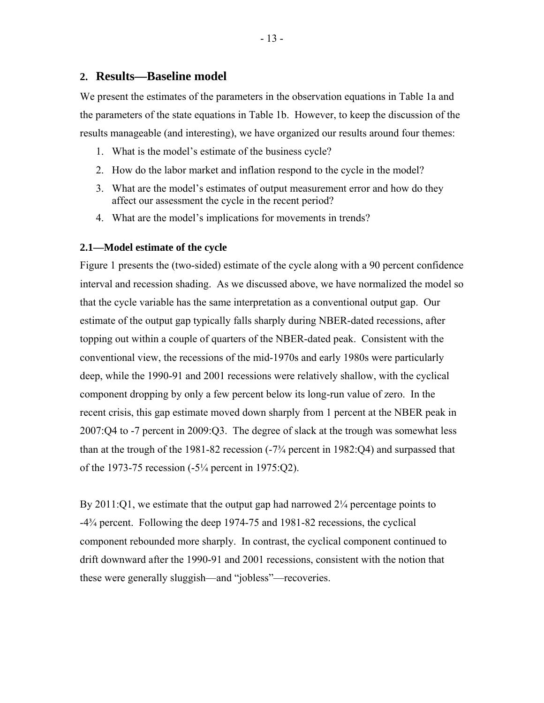## **2. Results—Baseline model**

We present the estimates of the parameters in the observation equations in Table 1a and the parameters of the state equations in Table 1b. However, to keep the discussion of the results manageable (and interesting), we have organized our results around four themes:

- 1. What is the model's estimate of the business cycle?
- 2. How do the labor market and inflation respond to the cycle in the model?
- 3. What are the model's estimates of output measurement error and how do they affect our assessment the cycle in the recent period?
- 4. What are the model's implications for movements in trends?

#### **2.1—Model estimate of the cycle**

Figure 1 presents the (two-sided) estimate of the cycle along with a 90 percent confidence interval and recession shading. As we discussed above, we have normalized the model so that the cycle variable has the same interpretation as a conventional output gap. Our estimate of the output gap typically falls sharply during NBER-dated recessions, after topping out within a couple of quarters of the NBER-dated peak. Consistent with the conventional view, the recessions of the mid-1970s and early 1980s were particularly deep, while the 1990-91 and 2001 recessions were relatively shallow, with the cyclical component dropping by only a few percent below its long-run value of zero. In the recent crisis, this gap estimate moved down sharply from 1 percent at the NBER peak in 2007:Q4 to -7 percent in 2009:Q3. The degree of slack at the trough was somewhat less than at the trough of the 1981-82 recession (-7¾ percent in 1982:Q4) and surpassed that of the 1973-75 recession (-5¼ percent in 1975:Q2).

By 2011:Q1, we estimate that the output gap had narrowed 2¼ percentage points to -4¾ percent. Following the deep 1974-75 and 1981-82 recessions, the cyclical component rebounded more sharply. In contrast, the cyclical component continued to drift downward after the 1990-91 and 2001 recessions, consistent with the notion that these were generally sluggish—and "jobless"—recoveries.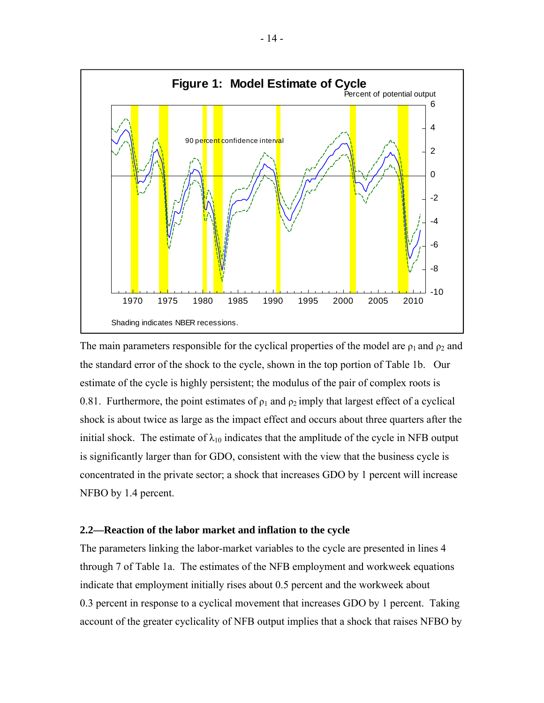

The main parameters responsible for the cyclical properties of the model are  $\rho_1$  and  $\rho_2$  and the standard error of the shock to the cycle, shown in the top portion of Table 1b. Our estimate of the cycle is highly persistent; the modulus of the pair of complex roots is 0.81. Furthermore, the point estimates of  $\rho_1$  and  $\rho_2$  imply that largest effect of a cyclical shock is about twice as large as the impact effect and occurs about three quarters after the initial shock. The estimate of  $\lambda_{10}$  indicates that the amplitude of the cycle in NFB output is significantly larger than for GDO, consistent with the view that the business cycle is concentrated in the private sector; a shock that increases GDO by 1 percent will increase NFBO by 1.4 percent.

#### **2.2—Reaction of the labor market and inflation to the cycle**

The parameters linking the labor-market variables to the cycle are presented in lines 4 through 7 of Table 1a. The estimates of the NFB employment and workweek equations indicate that employment initially rises about 0.5 percent and the workweek about 0.3 percent in response to a cyclical movement that increases GDO by 1 percent. Taking account of the greater cyclicality of NFB output implies that a shock that raises NFBO by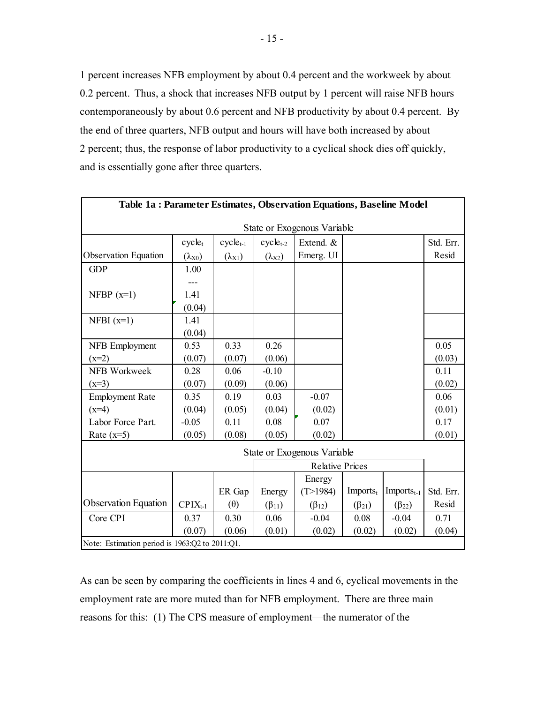1 percent increases NFB employment by about 0.4 percent and the workweek by about 0.2 percent. Thus, a shock that increases NFB output by 1 percent will raise NFB hours contemporaneously by about 0.6 percent and NFB productivity by about 0.4 percent. By the end of three quarters, NFB output and hours will have both increased by about 2 percent; thus, the response of labor productivity to a cyclical shock dies off quickly, and is essentially gone after three quarters.

|                             | Table 1a : Parameter Estimates, Observation Equations, Baseline Model |                  |                         |                             |                      |                 |           |  |  |
|-----------------------------|-----------------------------------------------------------------------|------------------|-------------------------|-----------------------------|----------------------|-----------------|-----------|--|--|
|                             |                                                                       |                  |                         | State or Exogenous Variable |                      |                 |           |  |  |
|                             | cycle <sub>t</sub>                                                    | $cycle_{t-1}$    | $cycle_{t-2}$           | Extend. &                   |                      |                 | Std. Err. |  |  |
| <b>Observation Equation</b> | $(\lambda_{X0})$                                                      | $(\lambda_{X1})$ | $(\lambda_{\text{X2}})$ | Emerg. UI                   |                      |                 | Resid     |  |  |
| <b>GDP</b>                  | 1.00                                                                  |                  |                         |                             |                      |                 |           |  |  |
|                             | ---                                                                   |                  |                         |                             |                      |                 |           |  |  |
| NFBP $(x=1)$                | 1.41                                                                  |                  |                         |                             |                      |                 |           |  |  |
|                             | (0.04)                                                                |                  |                         |                             |                      |                 |           |  |  |
| $NFBI (x=1)$                | 1.41                                                                  |                  |                         |                             |                      |                 |           |  |  |
|                             | (0.04)                                                                |                  |                         |                             |                      |                 |           |  |  |
| NFB Employment              | 0.53                                                                  | 0.33             | 0.26                    |                             |                      |                 | 0.05      |  |  |
| $(x=2)$                     | (0.07)                                                                | (0.07)           | (0.06)                  |                             |                      |                 | (0.03)    |  |  |
| NFB Workweek                | 0.28                                                                  | 0.06             | $-0.10$                 |                             |                      |                 | 0.11      |  |  |
| $(x=3)$                     | (0.07)                                                                | (0.09)           | (0.06)                  |                             |                      |                 | (0.02)    |  |  |
| <b>Employment Rate</b>      | 0.35                                                                  | 0.19             | 0.03                    | $-0.07$                     |                      |                 | 0.06      |  |  |
| $(x=4)$                     | (0.04)                                                                | (0.05)           | (0.04)                  | (0.02)                      |                      |                 | (0.01)    |  |  |
| Labor Force Part.           | $-0.05$                                                               | 0.11             | 0.08                    | 0.07                        |                      |                 | 0.17      |  |  |
| Rate $(x=5)$                | (0.05)                                                                | (0.08)           | (0.05)                  | (0.02)                      |                      |                 | (0.01)    |  |  |
|                             |                                                                       |                  |                         | State or Exogenous Variable |                      |                 |           |  |  |
|                             |                                                                       |                  |                         | <b>Relative Prices</b>      |                      |                 |           |  |  |
|                             |                                                                       |                  |                         | Energy                      |                      |                 |           |  |  |
|                             |                                                                       | ER Gap           | Energy                  | (T>1984)                    | Imports <sub>t</sub> | $Imports_{t-1}$ | Std. Err. |  |  |
| <b>Observation Equation</b> | $CPIX_{t-1}$                                                          | $(\theta)$       | $(\beta_{11})$          | $(\beta_{12})$              | $(\beta_{21})$       | $(\beta_{22})$  | Resid     |  |  |
| Core CPI                    | 0.37                                                                  | 0.30             | 0.06                    | $-0.04$                     | 0.08                 | $-0.04$         | 0.71      |  |  |
|                             | (0.07)                                                                | (0.06)           | (0.01)                  | (0.02)                      | (0.02)               | (0.02)          | (0.04)    |  |  |
|                             | Note: Estimation period is 1963:Q2 to 2011:Q1.                        |                  |                         |                             |                      |                 |           |  |  |

As can be seen by comparing the coefficients in lines 4 and 6, cyclical movements in the employment rate are more muted than for NFB employment. There are three main reasons for this: (1) The CPS measure of employment—the numerator of the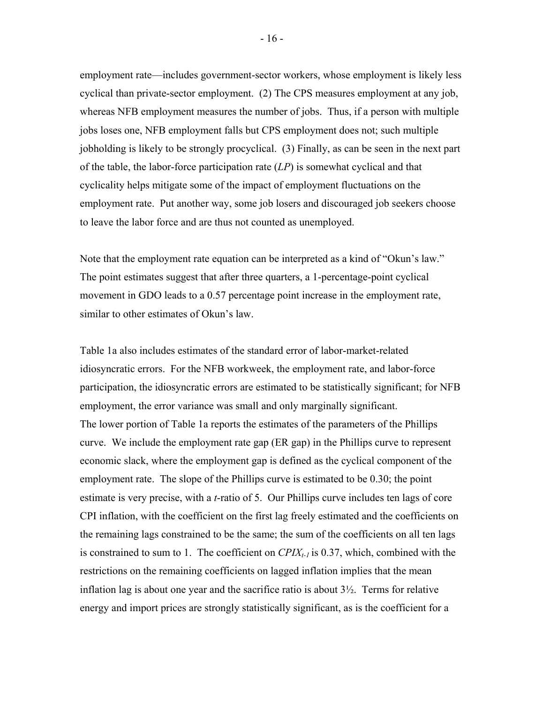employment rate—includes government-sector workers, whose employment is likely less cyclical than private-sector employment. (2) The CPS measures employment at any job, whereas NFB employment measures the number of jobs. Thus, if a person with multiple jobs loses one, NFB employment falls but CPS employment does not; such multiple jobholding is likely to be strongly procyclical. (3) Finally, as can be seen in the next part of the table, the labor-force participation rate (*LP*) is somewhat cyclical and that cyclicality helps mitigate some of the impact of employment fluctuations on the employment rate. Put another way, some job losers and discouraged job seekers choose to leave the labor force and are thus not counted as unemployed.

Note that the employment rate equation can be interpreted as a kind of "Okun's law." The point estimates suggest that after three quarters, a 1-percentage-point cyclical movement in GDO leads to a 0.57 percentage point increase in the employment rate, similar to other estimates of Okun's law.

Table 1a also includes estimates of the standard error of labor-market-related idiosyncratic errors. For the NFB workweek, the employment rate, and labor-force participation, the idiosyncratic errors are estimated to be statistically significant; for NFB employment, the error variance was small and only marginally significant. The lower portion of Table 1a reports the estimates of the parameters of the Phillips curve. We include the employment rate gap (ER gap) in the Phillips curve to represent economic slack, where the employment gap is defined as the cyclical component of the employment rate. The slope of the Phillips curve is estimated to be 0.30; the point estimate is very precise, with a *t*-ratio of 5. Our Phillips curve includes ten lags of core CPI inflation, with the coefficient on the first lag freely estimated and the coefficients on the remaining lags constrained to be the same; the sum of the coefficients on all ten lags is constrained to sum to 1. The coefficient on  $\text{CPIX}_{t-1}$  is 0.37, which, combined with the restrictions on the remaining coefficients on lagged inflation implies that the mean inflation lag is about one year and the sacrifice ratio is about  $3\frac{1}{2}$ . Terms for relative energy and import prices are strongly statistically significant, as is the coefficient for a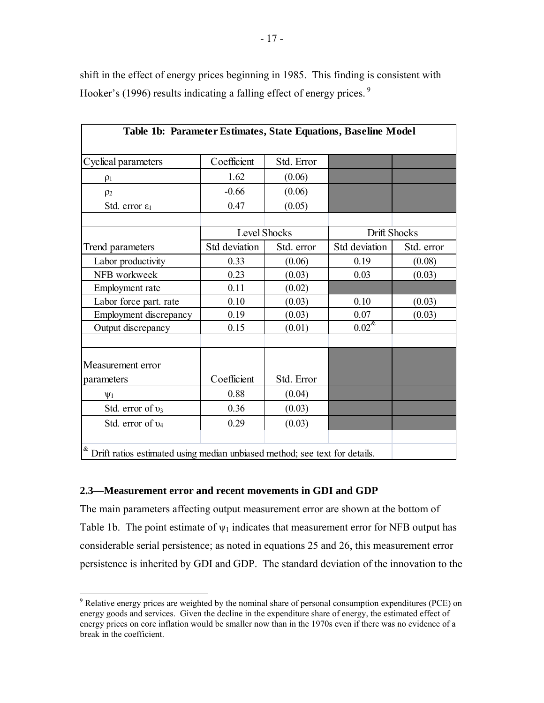| Table 1b: Parameter Estimates, State Equations, Baseline Model                  |               |                                                                               |             |            |  |  |  |  |
|---------------------------------------------------------------------------------|---------------|-------------------------------------------------------------------------------|-------------|------------|--|--|--|--|
|                                                                                 |               |                                                                               |             |            |  |  |  |  |
| Cyclical parameters                                                             | Coefficient   | Std. Error                                                                    |             |            |  |  |  |  |
| $\rho_1$                                                                        | 1.62          | (0.06)                                                                        |             |            |  |  |  |  |
| $\rho_2$                                                                        | $-0.66$       | (0.06)                                                                        |             |            |  |  |  |  |
| Std. error $\varepsilon_1$                                                      | 0.47          | (0.05)                                                                        |             |            |  |  |  |  |
|                                                                                 |               |                                                                               |             |            |  |  |  |  |
|                                                                                 |               | Level Shocks<br>Drift Shocks<br>Std deviation<br>Std. error<br>(0.06)<br>0.19 |             |            |  |  |  |  |
| Trend parameters                                                                | Std deviation |                                                                               |             | Std. error |  |  |  |  |
| Labor productivity                                                              | 0.33          |                                                                               |             | (0.08)     |  |  |  |  |
| NFB workweek                                                                    | 0.23          | (0.03)                                                                        | 0.03        | (0.03)     |  |  |  |  |
| Employment rate                                                                 | 0.11          | (0.02)                                                                        |             |            |  |  |  |  |
| Labor force part. rate                                                          | 0.10          | (0.03)                                                                        | 0.10        | (0.03)     |  |  |  |  |
| Employment discrepancy                                                          | 0.19          | (0.03)                                                                        | 0.07        | (0.03)     |  |  |  |  |
| Output discrepancy                                                              | 0.15          | (0.01)                                                                        | $0.02^{\&}$ |            |  |  |  |  |
|                                                                                 |               |                                                                               |             |            |  |  |  |  |
| Measurement error                                                               |               |                                                                               |             |            |  |  |  |  |
| parameters                                                                      | Coefficient   | Std. Error                                                                    |             |            |  |  |  |  |
| $\Psi_1$                                                                        | 0.88          | (0.04)                                                                        |             |            |  |  |  |  |
| Std. error of $v_3$                                                             | 0.36          | (0.03)                                                                        |             |            |  |  |  |  |
| Std. error of $v_4$                                                             | 0.29          | (0.03)                                                                        |             |            |  |  |  |  |
|                                                                                 |               |                                                                               |             |            |  |  |  |  |
| $\&$ Drift ratios estimated using median unbiased method; see text for details. |               |                                                                               |             |            |  |  |  |  |

shift in the effect of energy prices beginning in 1985. This finding is consistent with Hooker's (1996) results indicating a falling effect of energy prices.<sup>9</sup>

## **2.3—Measurement error and recent movements in GDI and GDP**

The main parameters affecting output measurement error are shown at the bottom of Table 1b. The point estimate of  $\psi_1$  indicates that measurement error for NFB output has considerable serial persistence; as noted in equations 25 and 26, this measurement error persistence is inherited by GDI and GDP. The standard deviation of the innovation to the

<sup>&</sup>lt;sup>9</sup> Relative energy prices are weighted by the nominal share of personal consumption expenditures (PCE) on energy goods and services. Given the decline in the expenditure share of energy, the estimated effect of energy prices on core inflation would be smaller now than in the 1970s even if there was no evidence of a break in the coefficient.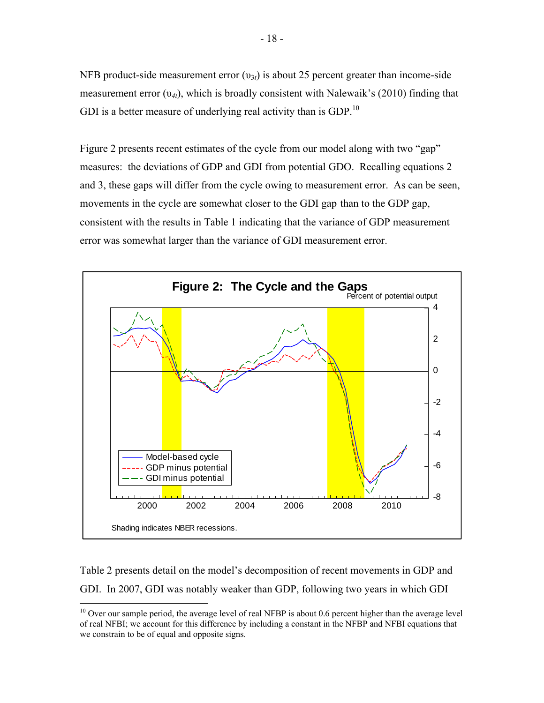NFB product-side measurement error  $(v_{3t})$  is about 25 percent greater than income-side measurement error (υ*4t*), which is broadly consistent with Nalewaik's (2010) finding that GDI is a better measure of underlying real activity than is GDP.<sup>10</sup>

Figure 2 presents recent estimates of the cycle from our model along with two "gap" measures: the deviations of GDP and GDI from potential GDO. Recalling equations 2 and 3, these gaps will differ from the cycle owing to measurement error. As can be seen, movements in the cycle are somewhat closer to the GDI gap than to the GDP gap, consistent with the results in Table 1 indicating that the variance of GDP measurement error was somewhat larger than the variance of GDI measurement error.



Table 2 presents detail on the model's decomposition of recent movements in GDP and GDI. In 2007, GDI was notably weaker than GDP, following two years in which GDI

 $\overline{a}$ 

 $10$  Over our sample period, the average level of real NFBP is about 0.6 percent higher than the average level of real NFBI; we account for this difference by including a constant in the NFBP and NFBI equations that we constrain to be of equal and opposite signs.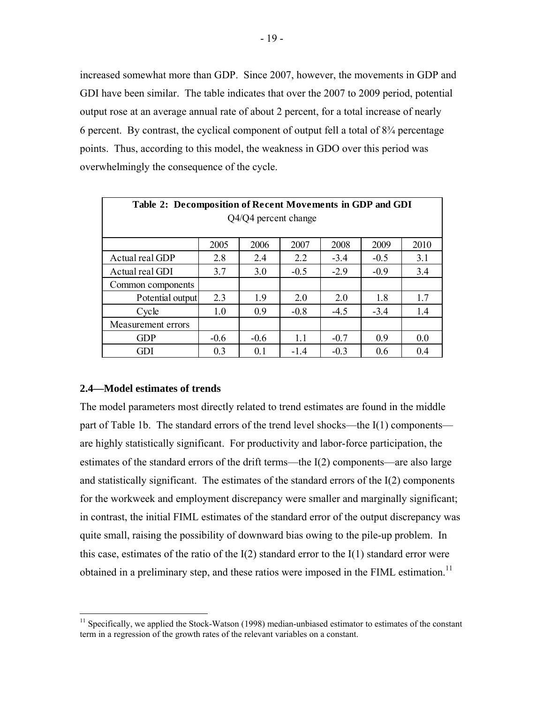increased somewhat more than GDP. Since 2007, however, the movements in GDP and GDI have been similar. The table indicates that over the 2007 to 2009 period, potential output rose at an average annual rate of about 2 percent, for a total increase of nearly 6 percent. By contrast, the cyclical component of output fell a total of  $8\frac{3}{4}$  percentage points. Thus, according to this model, the weakness in GDO over this period was overwhelmingly the consequence of the cycle.

| Table 2: Decomposition of Recent Movements in GDP and GDI<br>Q4/Q4 percent change |                                                 |                |        |        |        |     |  |  |  |  |
|-----------------------------------------------------------------------------------|-------------------------------------------------|----------------|--------|--------|--------|-----|--|--|--|--|
|                                                                                   | 2005<br>2006<br>2008<br>2009<br>2010<br>2007    |                |        |        |        |     |  |  |  |  |
| Actual real GDP                                                                   | 2.8                                             | 2.4            | 2.2    | $-3.4$ | $-0.5$ | 3.1 |  |  |  |  |
| Actual real GDI                                                                   | 3.4<br>3.0<br>$-2.9$<br>$-0.9$<br>3.7<br>$-0.5$ |                |        |        |        |     |  |  |  |  |
| Common components                                                                 |                                                 |                |        |        |        |     |  |  |  |  |
| Potential output                                                                  | 2.0<br>2.3<br>2.0<br>1.9<br>1.8<br>1.7          |                |        |        |        |     |  |  |  |  |
| Cycle                                                                             | 1.0                                             | 0.9            | $-0.8$ | $-4.5$ | $-3.4$ | 1.4 |  |  |  |  |
| Measurement errors                                                                |                                                 |                |        |        |        |     |  |  |  |  |
| <b>GDP</b>                                                                        | $-0.6$                                          | $-0.6$         | 11     | $-0.7$ | 0.9    | 0.0 |  |  |  |  |
| GDI                                                                               | 0.3                                             | 0 <sub>1</sub> | $-1.4$ | $-0.3$ | 0.6    | 0.4 |  |  |  |  |

#### **2.4—Model estimates of trends**

1

The model parameters most directly related to trend estimates are found in the middle part of Table 1b. The standard errors of the trend level shocks—the I(1) components are highly statistically significant. For productivity and labor-force participation, the estimates of the standard errors of the drift terms—the I(2) components—are also large and statistically significant. The estimates of the standard errors of the I(2) components for the workweek and employment discrepancy were smaller and marginally significant; in contrast, the initial FIML estimates of the standard error of the output discrepancy was quite small, raising the possibility of downward bias owing to the pile-up problem. In this case, estimates of the ratio of the  $I(2)$  standard error to the  $I(1)$  standard error were obtained in a preliminary step, and these ratios were imposed in the FIML estimation.<sup>11</sup>

<sup>&</sup>lt;sup>11</sup> Specifically, we applied the Stock-Watson (1998) median-unbiased estimator to estimates of the constant term in a regression of the growth rates of the relevant variables on a constant.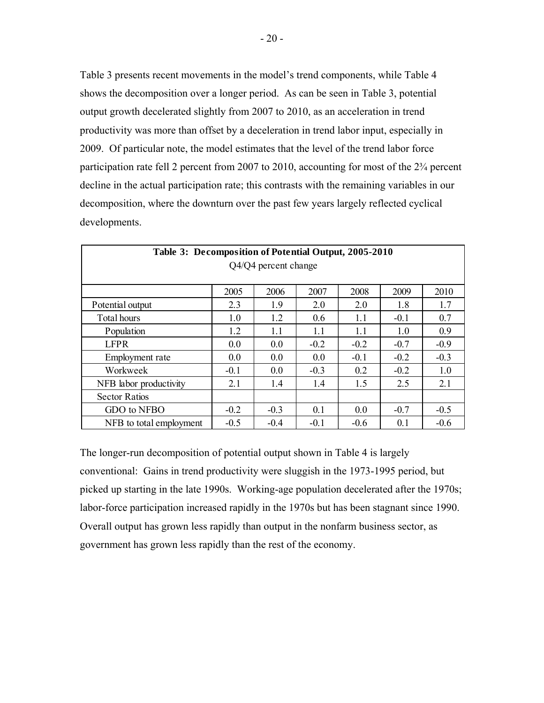Table 3 presents recent movements in the model's trend components, while Table 4 shows the decomposition over a longer period. As can be seen in Table 3, potential output growth decelerated slightly from 2007 to 2010, as an acceleration in trend productivity was more than offset by a deceleration in trend labor input, especially in 2009. Of particular note, the model estimates that the level of the trend labor force participation rate fell 2 percent from 2007 to 2010, accounting for most of the 2¾ percent decline in the actual participation rate; this contrasts with the remaining variables in our decomposition, where the downturn over the past few years largely reflected cyclical developments.

| Table 3: Decomposition of Potential Output, 2005-2010<br>Q4/Q4 percent change |        |        |        |        |        |        |  |  |  |
|-------------------------------------------------------------------------------|--------|--------|--------|--------|--------|--------|--|--|--|
|                                                                               |        |        |        |        |        |        |  |  |  |
| 2009<br>2005<br>2006<br>2007<br>2008<br>2010                                  |        |        |        |        |        |        |  |  |  |
| Potential output                                                              | 2.3    | 1.9    | 2.0    | 2.0    | 1.8    | 1.7    |  |  |  |
| Total hours                                                                   | 1.0    | 1.2    | 0.6    | 1.1    | $-0.1$ | 0.7    |  |  |  |
| Population                                                                    | 1.2    | 1.1    | 1.1    | 1.1    | 1.0    | 0.9    |  |  |  |
| <b>LFPR</b>                                                                   | 0.0    | 0.0    | $-0.2$ | $-0.2$ | $-0.7$ | $-0.9$ |  |  |  |
| Employment rate                                                               | 0.0    | 0.0    | 0.0    | $-0.1$ | $-0.2$ | $-0.3$ |  |  |  |
| Workweek                                                                      | $-0.1$ | 0.0    | $-0.3$ | 0.2    | $-0.2$ | 1.0    |  |  |  |
| NFB labor productivity                                                        | 2.1    | 1.4    | 1.4    | 1.5    | 2.5    | 2.1    |  |  |  |
| <b>Sector Ratios</b>                                                          |        |        |        |        |        |        |  |  |  |
| GDO to NFBO                                                                   | $-0.2$ | $-0.3$ | 0.1    | 0.0    | $-0.7$ | $-0.5$ |  |  |  |
| NFB to total employment                                                       | $-0.5$ | $-0.4$ | $-0.1$ | $-0.6$ | 0.1    | $-0.6$ |  |  |  |

The longer-run decomposition of potential output shown in Table 4 is largely conventional: Gains in trend productivity were sluggish in the 1973-1995 period, but picked up starting in the late 1990s. Working-age population decelerated after the 1970s; labor-force participation increased rapidly in the 1970s but has been stagnant since 1990. Overall output has grown less rapidly than output in the nonfarm business sector, as government has grown less rapidly than the rest of the economy.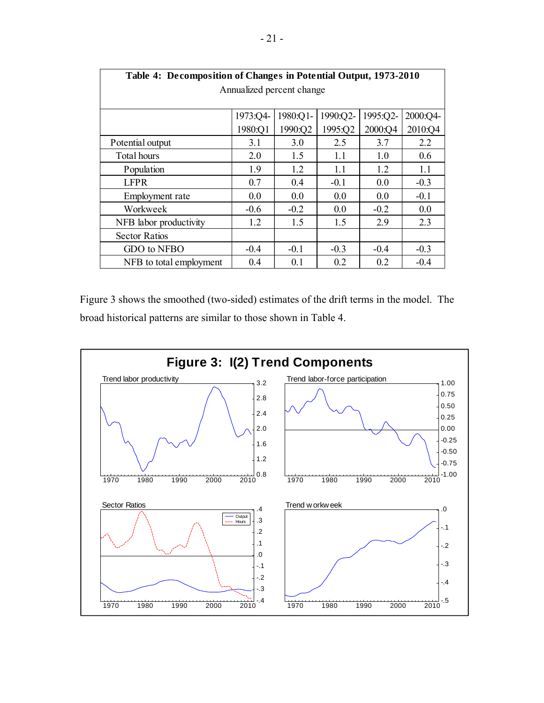| Table 4: Decomposition of Changes in Potential Output, 1973-2010<br>Annualized percent change |                                                          |        |        |        |        |  |  |  |  |  |  |
|-----------------------------------------------------------------------------------------------|----------------------------------------------------------|--------|--------|--------|--------|--|--|--|--|--|--|
|                                                                                               | 1980:Q1-<br>1995:Q2-<br>1990:Q2-<br>2000:Q4-<br>1973:Q4- |        |        |        |        |  |  |  |  |  |  |
|                                                                                               | 2010:Q4<br>1990:Q2<br>1995:Q2<br>1980:Q1<br>2000:Q4      |        |        |        |        |  |  |  |  |  |  |
| Potential output                                                                              | 3.1                                                      | 3.0    | 2.5    | 3.7    | 2.2    |  |  |  |  |  |  |
| Total hours                                                                                   | 2.0                                                      | 1.5    | 1.1    | 1.0    | 0.6    |  |  |  |  |  |  |
| Population                                                                                    | 1.9                                                      | 1.2    | 1.1    | 1.2    | 1.1    |  |  |  |  |  |  |
| <b>LFPR</b>                                                                                   | 0.7                                                      | 0.4    | $-0.1$ | 0.0    | $-0.3$ |  |  |  |  |  |  |
| Employment rate                                                                               | 0.0                                                      | 0.0    | 0.0    | 0.0    | $-0.1$ |  |  |  |  |  |  |
| Workweek                                                                                      | $-0.6$                                                   | $-0.2$ | 0.0    | $-0.2$ | 0.0    |  |  |  |  |  |  |
| NFB labor productivity                                                                        | 1.2                                                      | 1.5    | 1.5    | 2.9    | 2.3    |  |  |  |  |  |  |
| <b>Sector Ratios</b>                                                                          |                                                          |        |        |        |        |  |  |  |  |  |  |
| GDO to NFBO                                                                                   | $-0.4$                                                   | $-0.1$ | $-0.3$ | $-0.4$ | $-0.3$ |  |  |  |  |  |  |
| NFB to total employment                                                                       | 0.4                                                      | 0.1    | 0.2    | 0.2    | $-0.4$ |  |  |  |  |  |  |

Figure 3 shows the smoothed (two-sided) estimates of the drift terms in the model. The broad historical patterns are similar to those shown in Table 4.

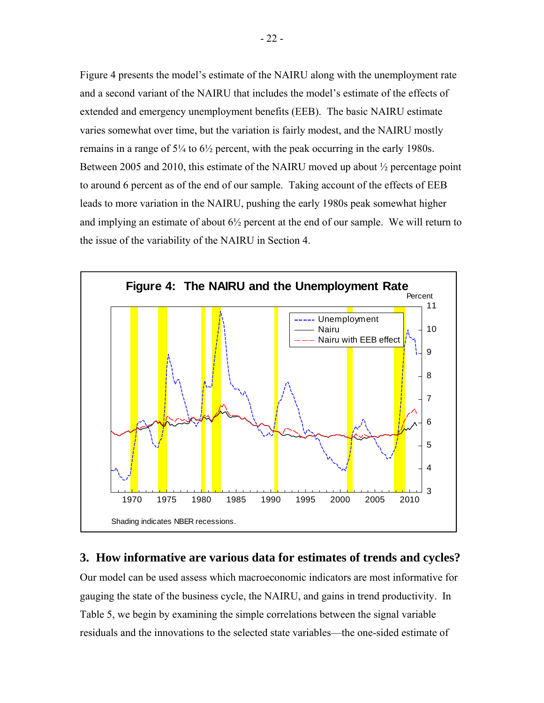Figure 4 presents the model's estimate of the NAIRU along with the unemployment rate and a second variant of the NAIRU that includes the model's estimate of the effects of extended and emergency unemployment benefits (EEB). The basic NAIRU estimate varies somewhat over time, but the variation is fairly modest, and the NAIRU mostly remains in a range of  $5\frac{1}{4}$  to  $6\frac{1}{2}$  percent, with the peak occurring in the early 1980s. Between 2005 and 2010, this estimate of the NAIRU moved up about ½ percentage point to around 6 percent as of the end of our sample. Taking account of the effects of EEB leads to more variation in the NAIRU, pushing the early 1980s peak somewhat higher and implying an estimate of about  $6\frac{1}{2}$  percent at the end of our sample. We will return to the issue of the variability of the NAIRU in Section 4.



# **3. How informative are various data for estimates of trends and cycles?**

Our model can be used assess which macroeconomic indicators are most informative for gauging the state of the business cycle, the NAIRU, and gains in trend productivity. In Table 5, we begin by examining the simple correlations between the signal variable residuals and the innovations to the selected state variables—the one-sided estimate of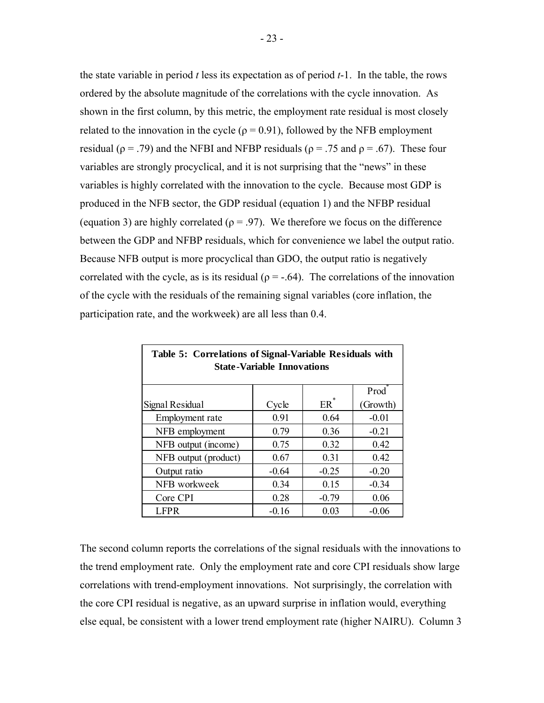the state variable in period *t* less its expectation as of period *t*-1. In the table, the rows ordered by the absolute magnitude of the correlations with the cycle innovation. As shown in the first column, by this metric, the employment rate residual is most closely related to the innovation in the cycle ( $\rho = 0.91$ ), followed by the NFB employment residual ( $\rho$  = .79) and the NFBI and NFBP residuals ( $\rho$  = .75 and  $\rho$  = .67). These four variables are strongly procyclical, and it is not surprising that the "news" in these variables is highly correlated with the innovation to the cycle. Because most GDP is produced in the NFB sector, the GDP residual (equation 1) and the NFBP residual (equation 3) are highly correlated ( $\rho = .97$ ). We therefore we focus on the difference between the GDP and NFBP residuals, which for convenience we label the output ratio. Because NFB output is more procyclical than GDO, the output ratio is negatively correlated with the cycle, as is its residual ( $\rho = -.64$ ). The correlations of the innovation of the cycle with the residuals of the remaining signal variables (core inflation, the participation rate, and the workweek) are all less than 0.4.

| Table 5: Correlations of Signal-Variable Residuals with<br><b>State-Variable Innovations</b> |         |         |          |  |  |  |  |  |
|----------------------------------------------------------------------------------------------|---------|---------|----------|--|--|--|--|--|
|                                                                                              |         |         | Prod     |  |  |  |  |  |
| Signal Residual                                                                              | Cycle   | ER      | (Growth) |  |  |  |  |  |
| Employment rate                                                                              | 0.91    | 0.64    | $-0.01$  |  |  |  |  |  |
| NFB employment                                                                               | 0.79    | 0.36    | $-0.21$  |  |  |  |  |  |
| NFB output (income)                                                                          | 0.75    | 0.32    | 0.42     |  |  |  |  |  |
| NFB output (product)                                                                         | 0.67    | 0.31    | 0.42     |  |  |  |  |  |
| Output ratio                                                                                 | $-0.64$ | $-0.25$ | $-0.20$  |  |  |  |  |  |
| NFB workweek                                                                                 | 0.34    | 0.15    | $-0.34$  |  |  |  |  |  |
| Core CPI                                                                                     | 0.28    | $-0.79$ | 0.06     |  |  |  |  |  |
| <b>LFPR</b>                                                                                  | $-0.16$ | 0.03    | $-0.06$  |  |  |  |  |  |

The second column reports the correlations of the signal residuals with the innovations to the trend employment rate. Only the employment rate and core CPI residuals show large correlations with trend-employment innovations. Not surprisingly, the correlation with the core CPI residual is negative, as an upward surprise in inflation would, everything else equal, be consistent with a lower trend employment rate (higher NAIRU). Column 3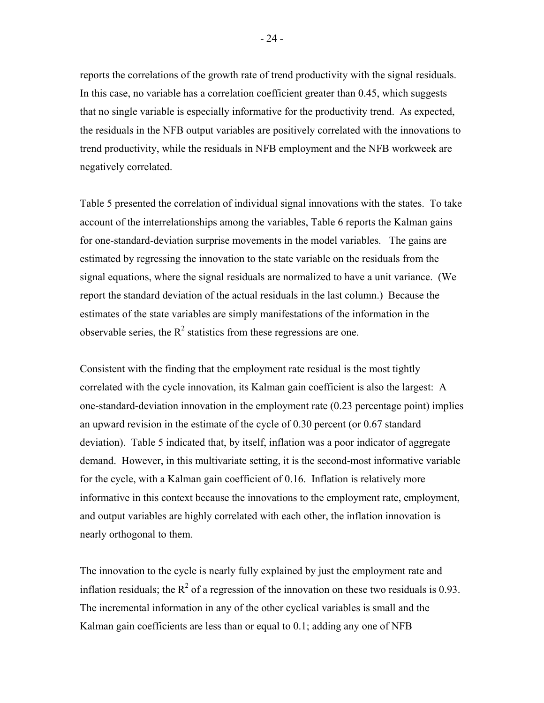reports the correlations of the growth rate of trend productivity with the signal residuals. In this case, no variable has a correlation coefficient greater than 0.45, which suggests that no single variable is especially informative for the productivity trend. As expected, the residuals in the NFB output variables are positively correlated with the innovations to trend productivity, while the residuals in NFB employment and the NFB workweek are negatively correlated.

Table 5 presented the correlation of individual signal innovations with the states. To take account of the interrelationships among the variables, Table 6 reports the Kalman gains for one-standard-deviation surprise movements in the model variables. The gains are estimated by regressing the innovation to the state variable on the residuals from the signal equations, where the signal residuals are normalized to have a unit variance. (We report the standard deviation of the actual residuals in the last column.) Because the estimates of the state variables are simply manifestations of the information in the observable series, the  $R^2$  statistics from these regressions are one.

Consistent with the finding that the employment rate residual is the most tightly correlated with the cycle innovation, its Kalman gain coefficient is also the largest: A one-standard-deviation innovation in the employment rate (0.23 percentage point) implies an upward revision in the estimate of the cycle of 0.30 percent (or 0.67 standard deviation). Table 5 indicated that, by itself, inflation was a poor indicator of aggregate demand. However, in this multivariate setting, it is the second-most informative variable for the cycle, with a Kalman gain coefficient of 0.16. Inflation is relatively more informative in this context because the innovations to the employment rate, employment, and output variables are highly correlated with each other, the inflation innovation is nearly orthogonal to them.

The innovation to the cycle is nearly fully explained by just the employment rate and inflation residuals; the  $R^2$  of a regression of the innovation on these two residuals is 0.93. The incremental information in any of the other cyclical variables is small and the Kalman gain coefficients are less than or equal to 0.1; adding any one of NFB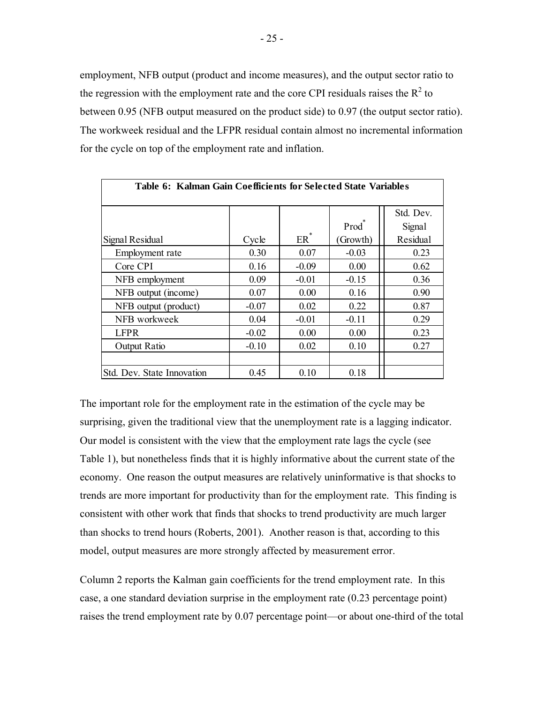employment, NFB output (product and income measures), and the output sector ratio to the regression with the employment rate and the core CPI residuals raises the  $R^2$  to between 0.95 (NFB output measured on the product side) to 0.97 (the output sector ratio). The workweek residual and the LFPR residual contain almost no incremental information for the cycle on top of the employment rate and inflation.

| Table 6: Kalman Gain Coefficients for Selected State Variables |         |         |          |           |  |  |  |
|----------------------------------------------------------------|---------|---------|----------|-----------|--|--|--|
|                                                                |         |         |          | Std. Dev. |  |  |  |
|                                                                |         |         | Prod     | Signal    |  |  |  |
| Signal Residual                                                | Cycle   | ER      | (Growth) | Residual  |  |  |  |
| Employment rate                                                | 0.30    | 0.07    | $-0.03$  | 0.23      |  |  |  |
| Core CPI                                                       | 0.16    | $-0.09$ | 0.00     | 0.62      |  |  |  |
| NFB employment                                                 | 0.09    | $-0.01$ | $-0.15$  | 0.36      |  |  |  |
| NFB output (income)                                            | 0.07    | 0.00    | 0.16     | 0.90      |  |  |  |
| NFB output (product)                                           | $-0.07$ | 0.02    | 0.22     | 0.87      |  |  |  |
| NFB workweek                                                   | 0.04    | $-0.01$ | $-0.11$  | 0.29      |  |  |  |
| <b>LFPR</b>                                                    | $-0.02$ | 0.00    | 0.00     | 0.23      |  |  |  |
| <b>Output Ratio</b>                                            | $-0.10$ | 0.02    | 0.10     | 0.27      |  |  |  |
|                                                                |         |         |          |           |  |  |  |
| Std. Dev. State Innovation                                     | 0.45    | 0.10    | 0.18     |           |  |  |  |

The important role for the employment rate in the estimation of the cycle may be surprising, given the traditional view that the unemployment rate is a lagging indicator. Our model is consistent with the view that the employment rate lags the cycle (see Table 1), but nonetheless finds that it is highly informative about the current state of the economy. One reason the output measures are relatively uninformative is that shocks to trends are more important for productivity than for the employment rate. This finding is consistent with other work that finds that shocks to trend productivity are much larger than shocks to trend hours (Roberts, 2001). Another reason is that, according to this model, output measures are more strongly affected by measurement error.

Column 2 reports the Kalman gain coefficients for the trend employment rate. In this case, a one standard deviation surprise in the employment rate (0.23 percentage point) raises the trend employment rate by 0.07 percentage point—or about one-third of the total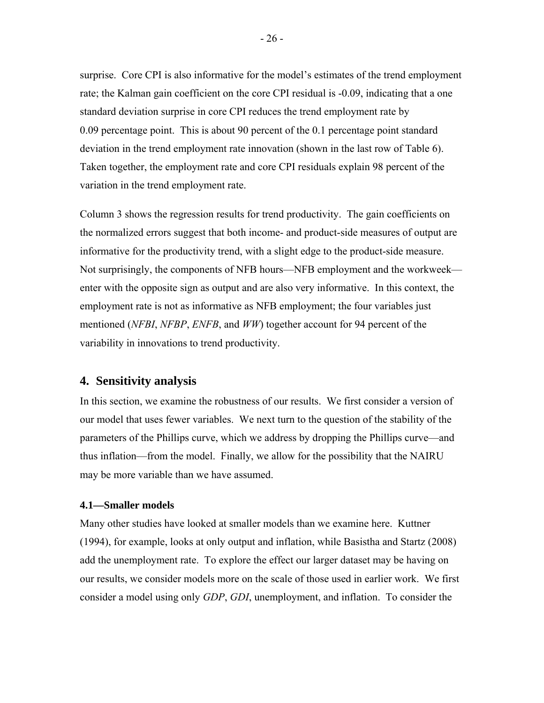surprise. Core CPI is also informative for the model's estimates of the trend employment rate; the Kalman gain coefficient on the core CPI residual is -0.09, indicating that a one standard deviation surprise in core CPI reduces the trend employment rate by 0.09 percentage point. This is about 90 percent of the 0.1 percentage point standard deviation in the trend employment rate innovation (shown in the last row of Table 6). Taken together, the employment rate and core CPI residuals explain 98 percent of the variation in the trend employment rate.

Column 3 shows the regression results for trend productivity. The gain coefficients on the normalized errors suggest that both income- and product-side measures of output are informative for the productivity trend, with a slight edge to the product-side measure. Not surprisingly, the components of NFB hours—NFB employment and the workweek enter with the opposite sign as output and are also very informative. In this context, the employment rate is not as informative as NFB employment; the four variables just mentioned (*NFBI*, *NFBP*, *ENFB*, and *WW*) together account for 94 percent of the variability in innovations to trend productivity.

## **4. Sensitivity analysis**

In this section, we examine the robustness of our results. We first consider a version of our model that uses fewer variables. We next turn to the question of the stability of the parameters of the Phillips curve, which we address by dropping the Phillips curve—and thus inflation—from the model. Finally, we allow for the possibility that the NAIRU may be more variable than we have assumed.

#### **4.1—Smaller models**

Many other studies have looked at smaller models than we examine here. Kuttner (1994), for example, looks at only output and inflation, while Basistha and Startz (2008) add the unemployment rate. To explore the effect our larger dataset may be having on our results, we consider models more on the scale of those used in earlier work. We first consider a model using only *GDP*, *GDI*, unemployment, and inflation. To consider the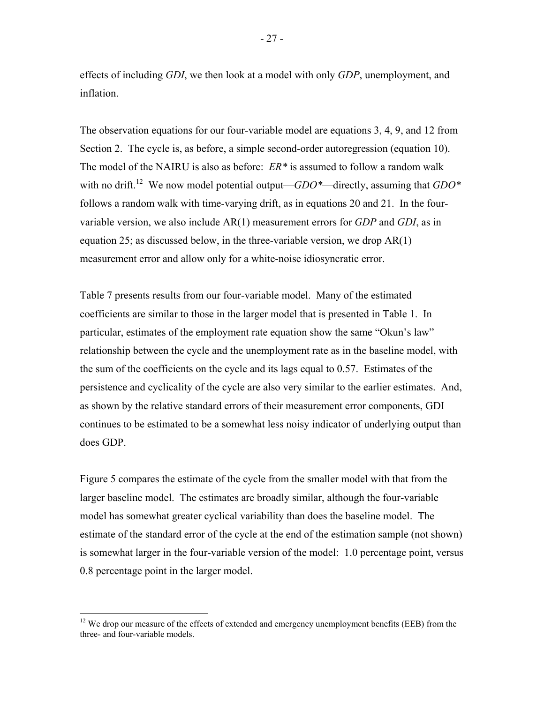effects of including *GDI*, we then look at a model with only *GDP*, unemployment, and inflation.

The observation equations for our four-variable model are equations 3, 4, 9, and 12 from Section 2. The cycle is, as before, a simple second-order autoregression (equation 10). The model of the NAIRU is also as before: *ER\** is assumed to follow a random walk with no drift.12 We now model potential output—*GDO\**—directly, assuming that *GDO\** follows a random walk with time-varying drift, as in equations 20 and 21. In the fourvariable version, we also include AR(1) measurement errors for *GDP* and *GDI*, as in equation 25; as discussed below, in the three-variable version, we drop AR(1) measurement error and allow only for a white-noise idiosyncratic error.

Table 7 presents results from our four-variable model. Many of the estimated coefficients are similar to those in the larger model that is presented in Table 1. In particular, estimates of the employment rate equation show the same "Okun's law" relationship between the cycle and the unemployment rate as in the baseline model, with the sum of the coefficients on the cycle and its lags equal to 0.57. Estimates of the persistence and cyclicality of the cycle are also very similar to the earlier estimates. And, as shown by the relative standard errors of their measurement error components, GDI continues to be estimated to be a somewhat less noisy indicator of underlying output than does GDP.

Figure 5 compares the estimate of the cycle from the smaller model with that from the larger baseline model. The estimates are broadly similar, although the four-variable model has somewhat greater cyclical variability than does the baseline model. The estimate of the standard error of the cycle at the end of the estimation sample (not shown) is somewhat larger in the four-variable version of the model: 1.0 percentage point, versus 0.8 percentage point in the larger model.

1

 $12$  We drop our measure of the effects of extended and emergency unemployment benefits (EEB) from the three- and four-variable models.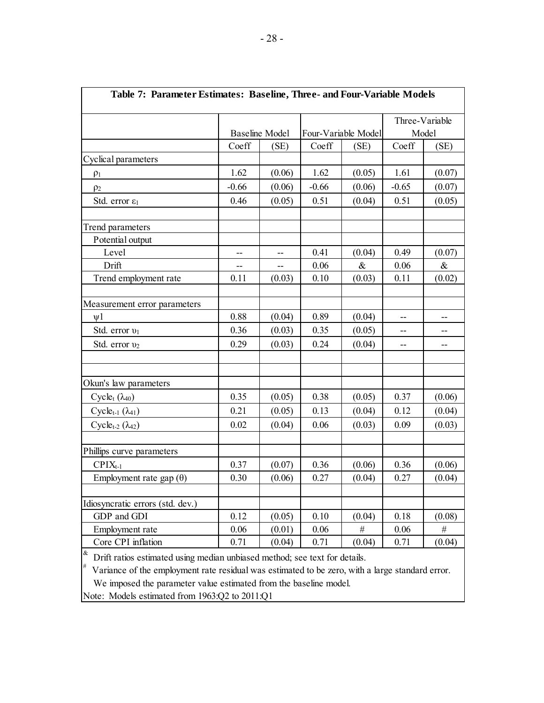| Table 7: Parameter Estimates: Baseline, Three- and Four-Variable Models |                       |        |         |                     |                          |                |  |
|-------------------------------------------------------------------------|-----------------------|--------|---------|---------------------|--------------------------|----------------|--|
|                                                                         |                       |        |         |                     | Three-Variable           |                |  |
|                                                                         | <b>Baseline Model</b> |        |         | Four-Variable Model |                          | Model          |  |
|                                                                         | Coeff                 | (SE)   | Coeff   | (SE)                | Coeff                    | (SE)           |  |
| Cyclical parameters                                                     |                       |        |         |                     |                          |                |  |
| $\rho_1$                                                                | 1.62                  | (0.06) | 1.62    | (0.05)              | 1.61                     | (0.07)         |  |
| $\rho_2$                                                                | $-0.66$               | (0.06) | $-0.66$ | (0.06)              | $-0.65$                  | (0.07)         |  |
| Std. error $\varepsilon_1$                                              | 0.46                  | (0.05) | 0.51    | (0.04)              | 0.51                     | (0.05)         |  |
| Trend parameters                                                        |                       |        |         |                     |                          |                |  |
| Potential output                                                        |                       |        |         |                     |                          |                |  |
| Level                                                                   | $\overline{a}$        | --     | 0.41    | (0.04)              | 0.49                     | (0.07)         |  |
| Drift                                                                   | 44                    | u.     | 0.06    | $\&$                | 0.06                     | $\&$           |  |
| Trend employment rate                                                   | 0.11                  | (0.03) | 0.10    | (0.03)              | 0.11                     | (0.02)         |  |
| Measurement error parameters                                            |                       |        |         |                     |                          |                |  |
| $\mathsf{V}1$                                                           | 0.88                  | (0.04) | 0.89    | (0.04)              | $-$                      | $-$            |  |
| Std. error $v_1$                                                        | 0.36                  | (0.03) | 0.35    | (0.05)              | --                       | --             |  |
| Std. error $v_2$                                                        | 0.29                  | (0.03) | 0.24    | (0.04)              | $\overline{\phantom{a}}$ | $\overline{a}$ |  |
|                                                                         |                       |        |         |                     |                          |                |  |
| Okun's law parameters                                                   |                       |        |         |                     |                          |                |  |
| $Cyclet (\lambda_{40})$                                                 | 0.35                  | (0.05) | 0.38    | (0.05)              | 0.37                     | (0.06)         |  |
| $Cycle_{t-1} (\lambda_{41})$                                            | 0.21                  | (0.05) | 0.13    | (0.04)              | 0.12                     | (0.04)         |  |
| $Cycle_{t-2} (\lambda_{42})$                                            | 0.02                  | (0.04) | 0.06    | (0.03)              | 0.09                     | (0.03)         |  |
| Phillips curve parameters                                               |                       |        |         |                     |                          |                |  |
| $CPIX_{t-1}$                                                            | 0.37                  | (0.07) | 0.36    | (0.06)              | 0.36                     | (0.06)         |  |
| Employment rate gap $(\theta)$                                          | 0.30                  | (0.06) | 0.27    | (0.04)              | 0.27                     | (0.04)         |  |
| Idiosyncratic errors (std. dev.)                                        |                       |        |         |                     |                          |                |  |
| GDP and GDI                                                             | 0.12                  | (0.05) | 0.10    | (0.04)              | 0.18                     | (0.08)         |  |
| Employment rate                                                         | 0.06                  | (0.01) | 0.06    | $\#$                | 0.06                     | $\#$           |  |
| Core CPI inflation                                                      | 0.71                  | (0.04) | 0.71    | (0.04)              | 0.71                     | (0.04)         |  |

 $\&$  Drift ratios estimated using median unbiased method; see text for details.

# Variance of the employment rate residual was estimated to be zero, with a large standard error. We imposed the parameter value estimated from the baseline model.

Note: Models estimated from 1963:Q2 to 2011:Q1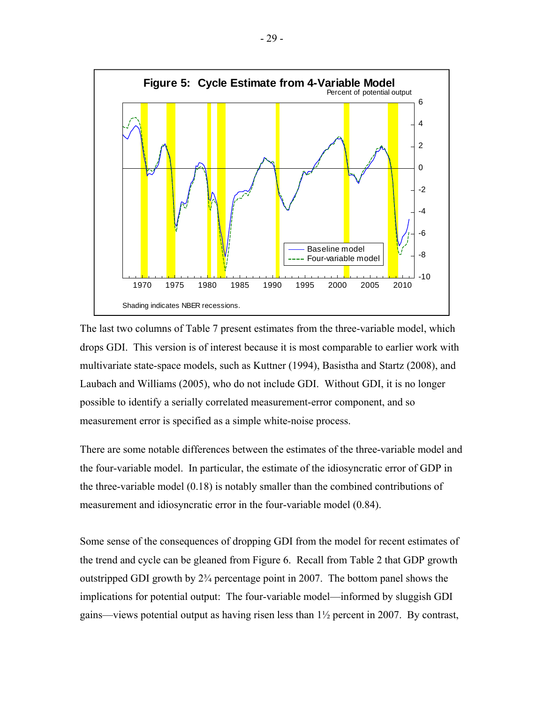

The last two columns of Table 7 present estimates from the three-variable model, which drops GDI. This version is of interest because it is most comparable to earlier work with multivariate state-space models, such as Kuttner (1994), Basistha and Startz (2008), and Laubach and Williams (2005), who do not include GDI. Without GDI, it is no longer possible to identify a serially correlated measurement-error component, and so measurement error is specified as a simple white-noise process.

There are some notable differences between the estimates of the three-variable model and the four-variable model. In particular, the estimate of the idiosyncratic error of GDP in the three-variable model (0.18) is notably smaller than the combined contributions of measurement and idiosyncratic error in the four-variable model (0.84).

Some sense of the consequences of dropping GDI from the model for recent estimates of the trend and cycle can be gleaned from Figure 6. Recall from Table 2 that GDP growth outstripped GDI growth by 2¾ percentage point in 2007. The bottom panel shows the implications for potential output: The four-variable model—informed by sluggish GDI gains—views potential output as having risen less than 1½ percent in 2007. By contrast,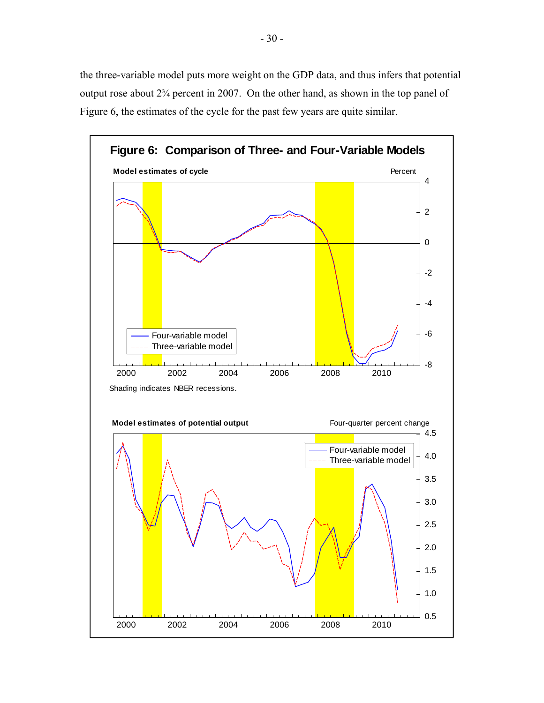the three-variable model puts more weight on the GDP data, and thus infers that potential output rose about 2¾ percent in 2007. On the other hand, as shown in the top panel of Figure 6, the estimates of the cycle for the past few years are quite similar.

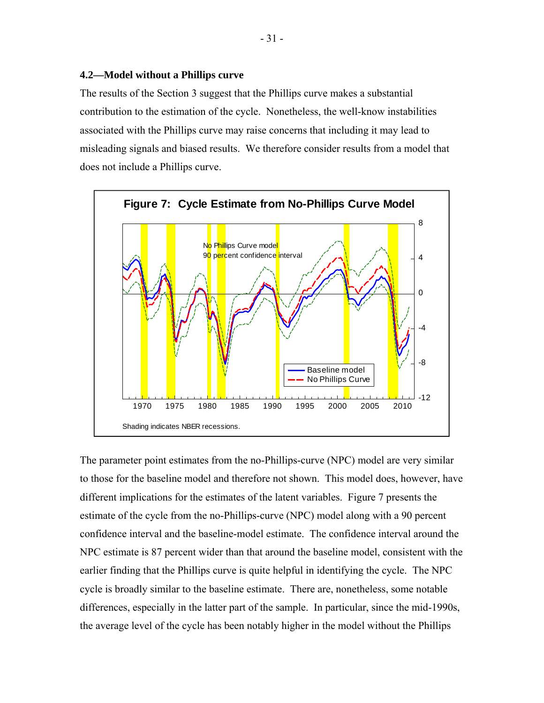#### **4.2—Model without a Phillips curve**

The results of the Section 3 suggest that the Phillips curve makes a substantial contribution to the estimation of the cycle. Nonetheless, the well-know instabilities associated with the Phillips curve may raise concerns that including it may lead to misleading signals and biased results. We therefore consider results from a model that does not include a Phillips curve.



The parameter point estimates from the no-Phillips-curve (NPC) model are very similar to those for the baseline model and therefore not shown. This model does, however, have different implications for the estimates of the latent variables. Figure 7 presents the estimate of the cycle from the no-Phillips-curve (NPC) model along with a 90 percent confidence interval and the baseline-model estimate. The confidence interval around the NPC estimate is 87 percent wider than that around the baseline model, consistent with the earlier finding that the Phillips curve is quite helpful in identifying the cycle. The NPC cycle is broadly similar to the baseline estimate. There are, nonetheless, some notable differences, especially in the latter part of the sample. In particular, since the mid-1990s, the average level of the cycle has been notably higher in the model without the Phillips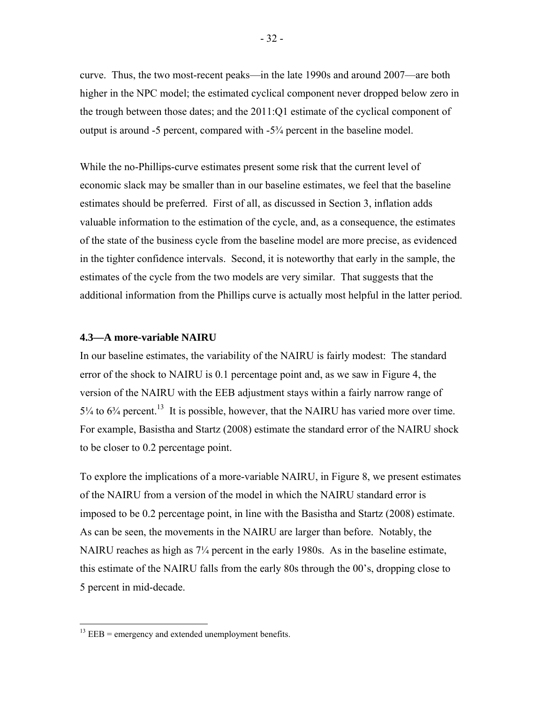curve. Thus, the two most-recent peaks—in the late 1990s and around 2007—are both higher in the NPC model; the estimated cyclical component never dropped below zero in the trough between those dates; and the 2011:Q1 estimate of the cyclical component of output is around -5 percent, compared with -5¾ percent in the baseline model.

While the no-Phillips-curve estimates present some risk that the current level of economic slack may be smaller than in our baseline estimates, we feel that the baseline estimates should be preferred. First of all, as discussed in Section 3, inflation adds valuable information to the estimation of the cycle, and, as a consequence, the estimates of the state of the business cycle from the baseline model are more precise, as evidenced in the tighter confidence intervals. Second, it is noteworthy that early in the sample, the estimates of the cycle from the two models are very similar. That suggests that the additional information from the Phillips curve is actually most helpful in the latter period.

#### **4.3—A more-variable NAIRU**

In our baseline estimates, the variability of the NAIRU is fairly modest: The standard error of the shock to NAIRU is 0.1 percentage point and, as we saw in Figure 4, the version of the NAIRU with the EEB adjustment stays within a fairly narrow range of 5¼ to 6¾ percent.13It is possible, however, that the NAIRU has varied more over time. For example, Basistha and Startz (2008) estimate the standard error of the NAIRU shock to be closer to 0.2 percentage point.

To explore the implications of a more-variable NAIRU, in Figure 8, we present estimates of the NAIRU from a version of the model in which the NAIRU standard error is imposed to be 0.2 percentage point, in line with the Basistha and Startz (2008) estimate. As can be seen, the movements in the NAIRU are larger than before. Notably, the NAIRU reaches as high as 7¼ percent in the early 1980s. As in the baseline estimate, this estimate of the NAIRU falls from the early 80s through the 00's, dropping close to 5 percent in mid-decade.

 $\overline{a}$ 

 $^{13}$  EEB = emergency and extended unemployment benefits.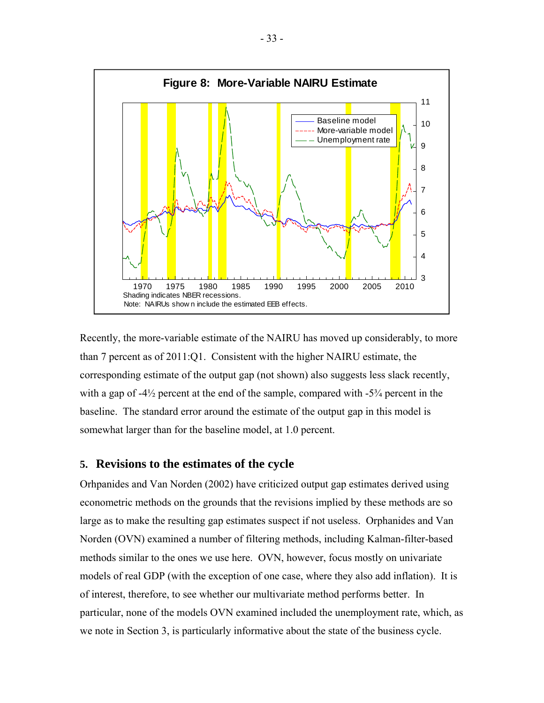

Recently, the more-variable estimate of the NAIRU has moved up considerably, to more than 7 percent as of 2011:Q1. Consistent with the higher NAIRU estimate, the corresponding estimate of the output gap (not shown) also suggests less slack recently, with a gap of  $-4\frac{1}{2}$  percent at the end of the sample, compared with  $-5\frac{3}{4}$  percent in the baseline. The standard error around the estimate of the output gap in this model is somewhat larger than for the baseline model, at 1.0 percent.

# **5. Revisions to the estimates of the cycle**

Orhpanides and Van Norden (2002) have criticized output gap estimates derived using econometric methods on the grounds that the revisions implied by these methods are so large as to make the resulting gap estimates suspect if not useless. Orphanides and Van Norden (OVN) examined a number of filtering methods, including Kalman-filter-based methods similar to the ones we use here. OVN, however, focus mostly on univariate models of real GDP (with the exception of one case, where they also add inflation). It is of interest, therefore, to see whether our multivariate method performs better. In particular, none of the models OVN examined included the unemployment rate, which, as we note in Section 3, is particularly informative about the state of the business cycle.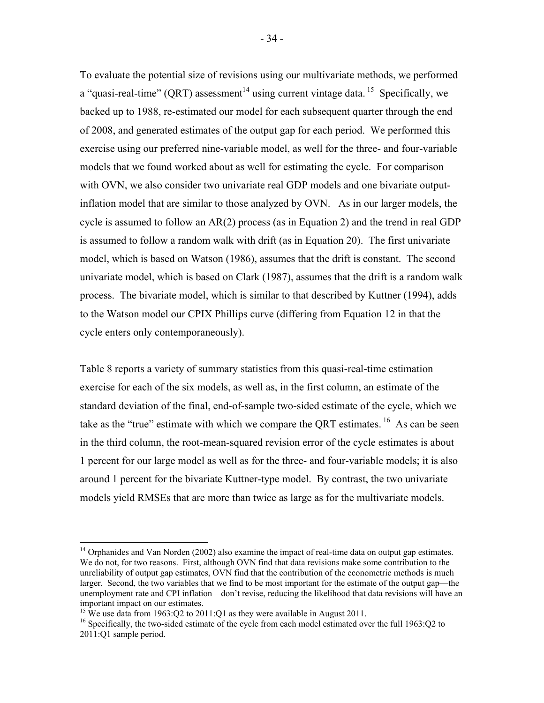To evaluate the potential size of revisions using our multivariate methods, we performed a "quasi-real-time" (ORT) assessment<sup>14</sup> using current vintage data. <sup>15</sup> Specifically, we backed up to 1988, re-estimated our model for each subsequent quarter through the end of 2008, and generated estimates of the output gap for each period. We performed this exercise using our preferred nine-variable model, as well for the three- and four-variable models that we found worked about as well for estimating the cycle. For comparison with OVN, we also consider two univariate real GDP models and one bivariate outputinflation model that are similar to those analyzed by OVN. As in our larger models, the cycle is assumed to follow an  $AR(2)$  process (as in Equation 2) and the trend in real GDP is assumed to follow a random walk with drift (as in Equation 20). The first univariate model, which is based on Watson (1986), assumes that the drift is constant. The second univariate model, which is based on Clark (1987), assumes that the drift is a random walk process. The bivariate model, which is similar to that described by Kuttner (1994), adds to the Watson model our CPIX Phillips curve (differing from Equation 12 in that the cycle enters only contemporaneously).

Table 8 reports a variety of summary statistics from this quasi-real-time estimation exercise for each of the six models, as well as, in the first column, an estimate of the standard deviation of the final, end-of-sample two-sided estimate of the cycle, which we take as the "true" estimate with which we compare the QRT estimates. <sup>16</sup> As can be seen in the third column, the root-mean-squared revision error of the cycle estimates is about 1 percent for our large model as well as for the three- and four-variable models; it is also around 1 percent for the bivariate Kuttner-type model. By contrast, the two univariate models yield RMSEs that are more than twice as large as for the multivariate models.

1

 $14$  Orphanides and Van Norden (2002) also examine the impact of real-time data on output gap estimates. We do not, for two reasons. First, although OVN find that data revisions make some contribution to the unreliability of output gap estimates, OVN find that the contribution of the econometric methods is much larger. Second, the two variables that we find to be most important for the estimate of the output gap—the unemployment rate and CPI inflation—don't revise, reducing the likelihood that data revisions will have an important impact on our estimates.

<sup>&</sup>lt;sup>15</sup> We use data from 1963:Q2 to 2011:Q1 as they were available in August 2011.

 $16$  Specifically, the two-sided estimate of the cycle from each model estimated over the full 1963:Q2 to 2011:Q1 sample period.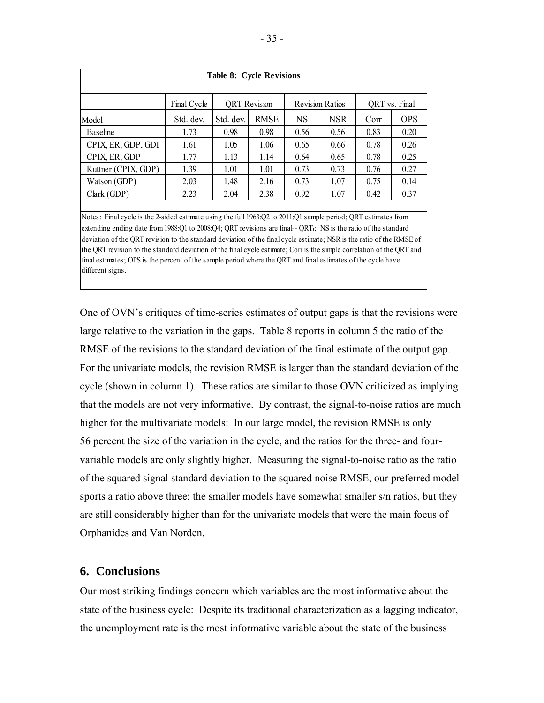| <b>Table 8: Cycle Revisions</b>                                                                                |           |           |             |           |            |      |            |  |
|----------------------------------------------------------------------------------------------------------------|-----------|-----------|-------------|-----------|------------|------|------------|--|
| <b>QRT</b> Revision<br><b>Revision Ratios</b><br>Final Cycle<br>QRT vs. Final                                  |           |           |             |           |            |      |            |  |
| Model                                                                                                          | Std. dev. | Std. dev. | <b>RMSE</b> | <b>NS</b> | <b>NSR</b> | Corr | <b>OPS</b> |  |
| <b>Baseline</b>                                                                                                | 1.73      | 0.98      | 0.98        | 0.56      | 0.56       | 0.83 | 0.20       |  |
| CPIX, ER, GDP, GDI                                                                                             | 1.61      | 1.05      | 1.06        | 0.65      | 0.66       | 0.78 | 0.26       |  |
| CPIX, ER, GDP                                                                                                  | 1.77      | 1.13      | 1.14        | 0.64      | 0.65       | 0.78 | 0.25       |  |
| Kuttner (CPIX, GDP)                                                                                            | 1.39      | 1.01      | 1.01        | 0.73      | 0.73       | 0.76 | 0.27       |  |
| Watson (GDP)                                                                                                   | 2.03      | 1.48      | 2.16        | 0.73      | 1.07       | 0.75 | 0.14       |  |
| Clark (GDP)                                                                                                    | 2.23      | 2.04      | 2.38        | 0.92      | 1.07       | 0.42 | 0.37       |  |
|                                                                                                                |           |           |             |           |            |      |            |  |
| Notes: Final cycle is the 2-sided estimate using the full 1963:Q2 to 2011:Q1 sample period; QRT estimates from |           |           |             |           |            |      |            |  |

extending ending date from 1988:Q1 to 2008:Q4; QRT revisions are finalt - QRT<sub>t</sub>; NS is the ratio of the standard deviation of the QRT revision to the standard deviation of the final cycle estimate; NSR is the ratio of the RMSE of the QRT revision to the standard deviation of the final cycle estimate; Corr is the simple correlation of the QRT and final estimates; OPS is the percent of the sample period where the QRT and final estimates of the cycle have different signs.

One of OVN's critiques of time-series estimates of output gaps is that the revisions were large relative to the variation in the gaps. Table 8 reports in column 5 the ratio of the RMSE of the revisions to the standard deviation of the final estimate of the output gap. For the univariate models, the revision RMSE is larger than the standard deviation of the cycle (shown in column 1). These ratios are similar to those OVN criticized as implying that the models are not very informative. By contrast, the signal-to-noise ratios are much higher for the multivariate models: In our large model, the revision RMSE is only 56 percent the size of the variation in the cycle, and the ratios for the three- and fourvariable models are only slightly higher. Measuring the signal-to-noise ratio as the ratio of the squared signal standard deviation to the squared noise RMSE, our preferred model sports a ratio above three; the smaller models have somewhat smaller s/n ratios, but they are still considerably higher than for the univariate models that were the main focus of Orphanides and Van Norden.

## **6. Conclusions**

Our most striking findings concern which variables are the most informative about the state of the business cycle: Despite its traditional characterization as a lagging indicator, the unemployment rate is the most informative variable about the state of the business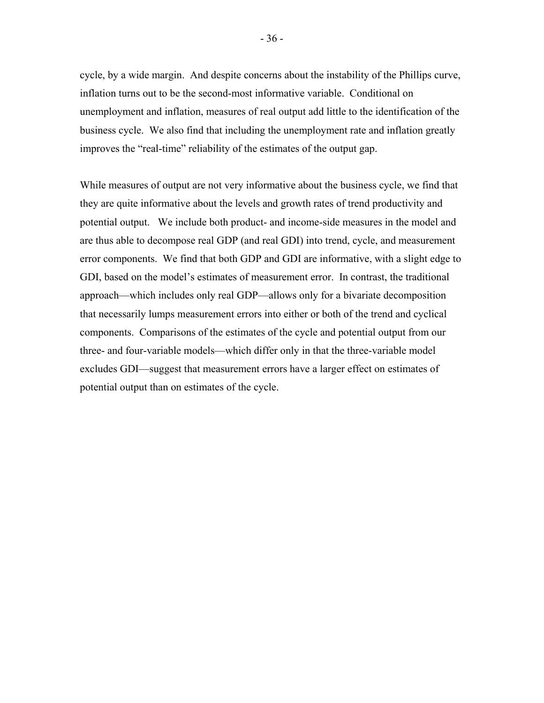cycle, by a wide margin. And despite concerns about the instability of the Phillips curve, inflation turns out to be the second-most informative variable. Conditional on unemployment and inflation, measures of real output add little to the identification of the business cycle. We also find that including the unemployment rate and inflation greatly improves the "real-time" reliability of the estimates of the output gap.

While measures of output are not very informative about the business cycle, we find that they are quite informative about the levels and growth rates of trend productivity and potential output. We include both product- and income-side measures in the model and are thus able to decompose real GDP (and real GDI) into trend, cycle, and measurement error components. We find that both GDP and GDI are informative, with a slight edge to GDI, based on the model's estimates of measurement error. In contrast, the traditional approach—which includes only real GDP—allows only for a bivariate decomposition that necessarily lumps measurement errors into either or both of the trend and cyclical components. Comparisons of the estimates of the cycle and potential output from our three- and four-variable models—which differ only in that the three-variable model excludes GDI—suggest that measurement errors have a larger effect on estimates of potential output than on estimates of the cycle.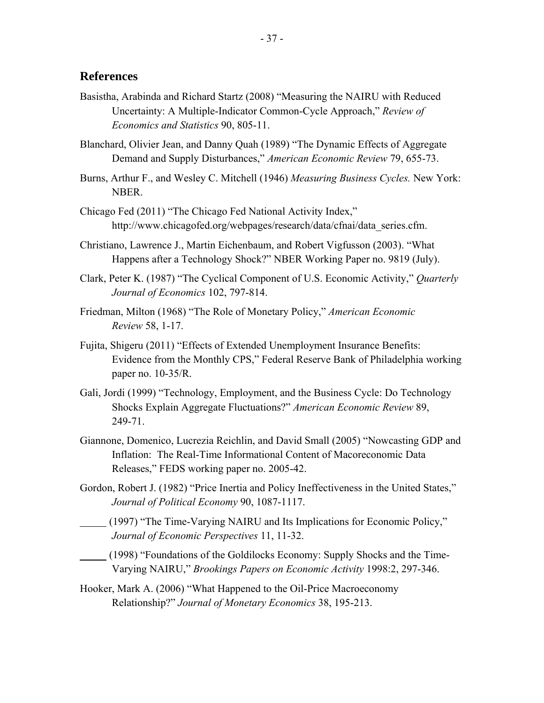## **References**

- Basistha, Arabinda and Richard Startz (2008) "Measuring the NAIRU with Reduced Uncertainty: A Multiple-Indicator Common-Cycle Approach," *Review of Economics and Statistics* 90, 805-11.
- Blanchard, Olivier Jean, and Danny Quah (1989) "The Dynamic Effects of Aggregate Demand and Supply Disturbances," *American Economic Review* 79, 655-73.
- Burns, Arthur F., and Wesley C. Mitchell (1946) *Measuring Business Cycles.* New York: NBER.
- Chicago Fed (2011) "The Chicago Fed National Activity Index," http://www.chicagofed.org/webpages/research/data/cfnai/data\_series.cfm.
- Christiano, Lawrence J., Martin Eichenbaum, and Robert Vigfusson (2003). "What Happens after a Technology Shock?" NBER Working Paper no. 9819 (July).
- Clark, Peter K. (1987) "The Cyclical Component of U.S. Economic Activity," *Quarterly Journal of Economics* 102, 797-814.
- Friedman, Milton (1968) "The Role of Monetary Policy," *American Economic Review* 58, 1-17.
- Fujita, Shigeru (2011) "Effects of Extended Unemployment Insurance Benefits: Evidence from the Monthly CPS," Federal Reserve Bank of Philadelphia working paper no. 10-35/R.
- Gali, Jordi (1999) "Technology, Employment, and the Business Cycle: Do Technology Shocks Explain Aggregate Fluctuations?" *American Economic Review* 89, 249-71.
- Giannone, Domenico, Lucrezia Reichlin, and David Small (2005) "Nowcasting GDP and Inflation: The Real-Time Informational Content of Macoreconomic Data Releases," FEDS working paper no. 2005-42.
- Gordon, Robert J. (1982) "Price Inertia and Policy Ineffectiveness in the United States," *Journal of Political Economy* 90, 1087-1117.
- (1997) "The Time-Varying NAIRU and Its Implications for Economic Policy," *Journal of Economic Perspectives* 11, 11-32.
- (1998) "Foundations of the Goldilocks Economy: Supply Shocks and the Time-Varying NAIRU," *Brookings Papers on Economic Activity* 1998:2, 297-346.
- Hooker, Mark A. (2006) "What Happened to the Oil-Price Macroeconomy Relationship?" *Journal of Monetary Economics* 38, 195-213.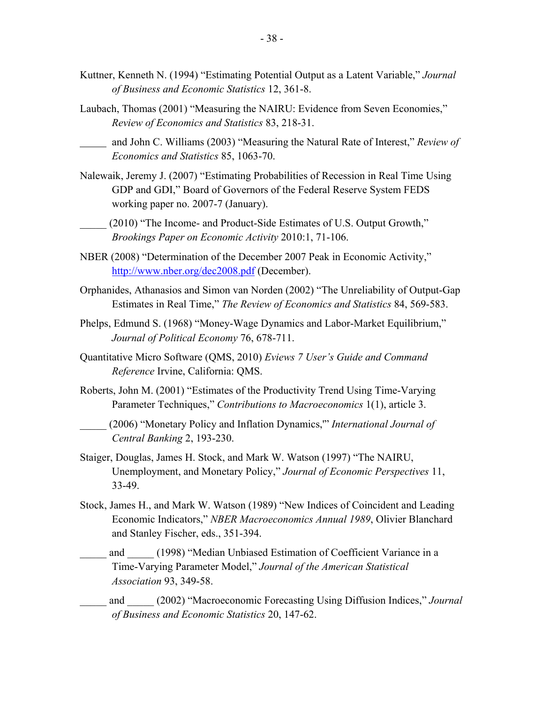- Kuttner, Kenneth N. (1994) "Estimating Potential Output as a Latent Variable," *Journal of Business and Economic Statistics* 12, 361-8.
- Laubach, Thomas (2001) "Measuring the NAIRU: Evidence from Seven Economies," *Review of Economics and Statistics* 83, 218-31.
	- and John C. Williams (2003) "Measuring the Natural Rate of Interest," *Review of Economics and Statistics* 85, 1063-70.
- Nalewaik, Jeremy J. (2007) "Estimating Probabilities of Recession in Real Time Using GDP and GDI," Board of Governors of the Federal Reserve System FEDS working paper no. 2007-7 (January).
- (2010) "The Income- and Product-Side Estimates of U.S. Output Growth," *Brookings Paper on Economic Activity* 2010:1, 71-106.
- NBER (2008) "Determination of the December 2007 Peak in Economic Activity," http://www.nber.org/dec2008.pdf (December).
- Orphanides, Athanasios and Simon van Norden (2002) "The Unreliability of Output-Gap Estimates in Real Time," *The Review of Economics and Statistics* 84, 569-583.
- Phelps, Edmund S. (1968) "Money-Wage Dynamics and Labor-Market Equilibrium," *Journal of Political Economy* 76, 678-711.
- Quantitative Micro Software (QMS, 2010) *Eviews 7 User's Guide and Command Reference* Irvine, California: QMS.
- Roberts, John M. (2001) "Estimates of the Productivity Trend Using Time-Varying Parameter Techniques," *Contributions to Macroeconomics* 1(1), article 3.
- \_\_\_\_\_ (2006) "Monetary Policy and Inflation Dynamics,'" *International Journal of Central Banking* 2, 193-230.
- Staiger, Douglas, James H. Stock, and Mark W. Watson (1997) "The NAIRU, Unemployment, and Monetary Policy," *Journal of Economic Perspectives* 11, 33-49.
- Stock, James H., and Mark W. Watson (1989) "New Indices of Coincident and Leading Economic Indicators," *NBER Macroeconomics Annual 1989*, Olivier Blanchard and Stanley Fischer, eds., 351-394.
- and (1998) "Median Unbiased Estimation of Coefficient Variance in a Time-Varying Parameter Model," *Journal of the American Statistical Association* 93, 349-58.
- \_\_\_\_\_ and \_\_\_\_\_ (2002) "Macroeconomic Forecasting Using Diffusion Indices," *Journal of Business and Economic Statistics* 20, 147-62.